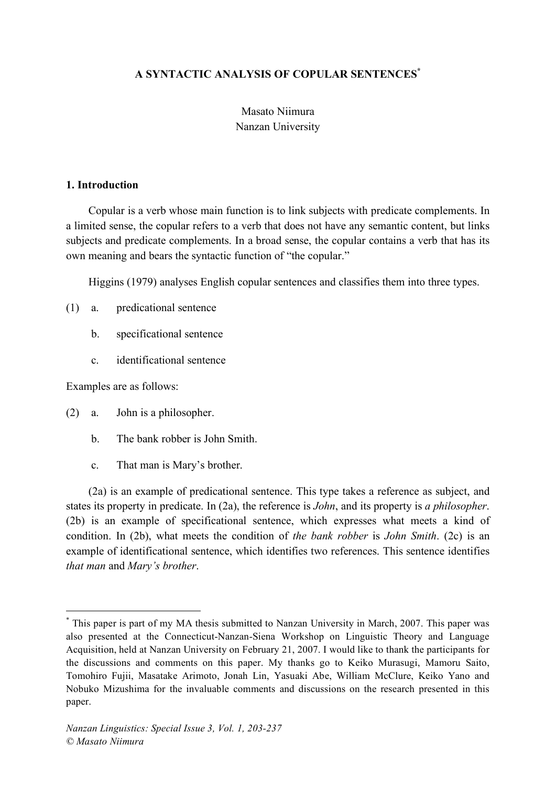# **A SYNTACTIC ANALYSIS OF COPULAR SENTENCES\***

# Masato Niimura Nanzan University

#### **1. Introduction**

Copular is a verb whose main function is to link subjects with predicate complements. In a limited sense, the copular refers to a verb that does not have any semantic content, but links subjects and predicate complements. In a broad sense, the copular contains a verb that has its own meaning and bears the syntactic function of "the copular."

Higgins (1979) analyses English copular sentences and classifies them into three types.

- (1) a. predicational sentence
	- b. specificational sentence
	- c. identificational sentence

Examples are as follows:

- (2) a. John is a philosopher.
	- b. The bank robber is John Smith.
	- c. That man is Mary's brother.

(2a) is an example of predicational sentence. This type takes a reference as subject, and states its property in predicate. In (2a), the reference is *John*, and its property is *a philosopher*. (2b) is an example of specificational sentence, which expresses what meets a kind of condition. In (2b), what meets the condition of *the bank robber* is *John Smith*. (2c) is an example of identificational sentence, which identifies two references. This sentence identifies *that man* and *Mary's brother*.

 <sup>\*</sup> This paper is part of my MA thesis submitted to Nanzan University in March, 2007. This paper was also presented at the Connecticut-Nanzan-Siena Workshop on Linguistic Theory and Language Acquisition, held at Nanzan University on February 21, 2007. I would like to thank the participants for the discussions and comments on this paper. My thanks go to Keiko Murasugi, Mamoru Saito, Tomohiro Fujii, Masatake Arimoto, Jonah Lin, Yasuaki Abe, William McClure, Keiko Yano and Nobuko Mizushima for the invaluable comments and discussions on the research presented in this paper.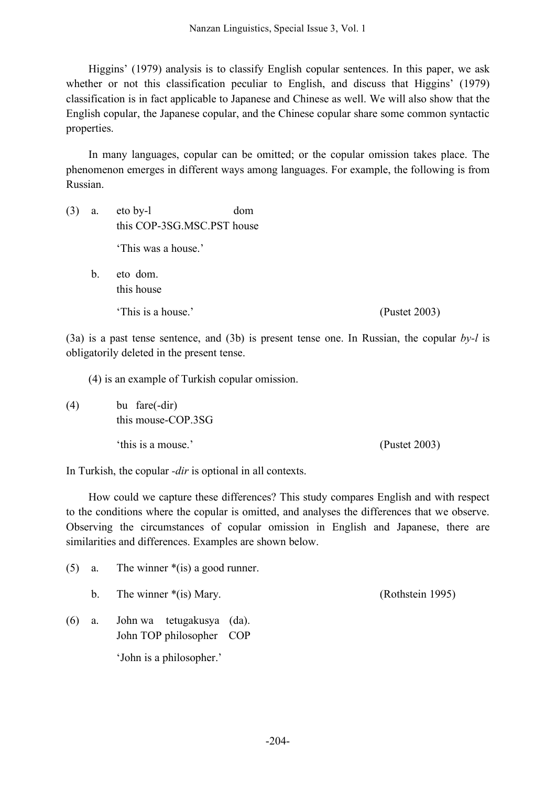Higgins' (1979) analysis is to classify English copular sentences. In this paper, we ask whether or not this classification peculiar to English, and discuss that Higgins' (1979) classification is in fact applicable to Japanese and Chinese as well. We will also show that the English copular, the Japanese copular, and the Chinese copular share some common syntactic properties.

In many languages, copular can be omitted; or the copular omission takes place. The phenomenon emerges in different ways among languages. For example, the following is from Russian.

- (3) a. eto by-l dom this COP-3SG.MSC.PST house 'This was a house.'
	- b. eto dom. this house

'This is a house.' (Pustet 2003)

(3a) is a past tense sentence, and (3b) is present tense one. In Russian, the copular *by-l* is obligatorily deleted in the present tense.

(4) is an example of Turkish copular omission.

(4) bu fare(-dir) this mouse-COP.3SG 'this is a mouse.' (Pustet 2003)

In Turkish, the copular *-dir* is optional in all contexts.

How could we capture these differences? This study compares English and with respect to the conditions where the copular is omitted, and analyses the differences that we observe. Observing the circumstances of copular omission in English and Japanese, there are similarities and differences. Examples are shown below.

|     |    | (5) a. The winner $*(is)$ a good runner.              |                  |  |
|-----|----|-------------------------------------------------------|------------------|--|
|     |    | b. The winner $*(is)$ Mary.                           | (Rothstein 1995) |  |
| (6) | a. | John wa tetugakusya (da).<br>John TOP philosopher COP |                  |  |
|     |    | 'John is a philosopher.'                              |                  |  |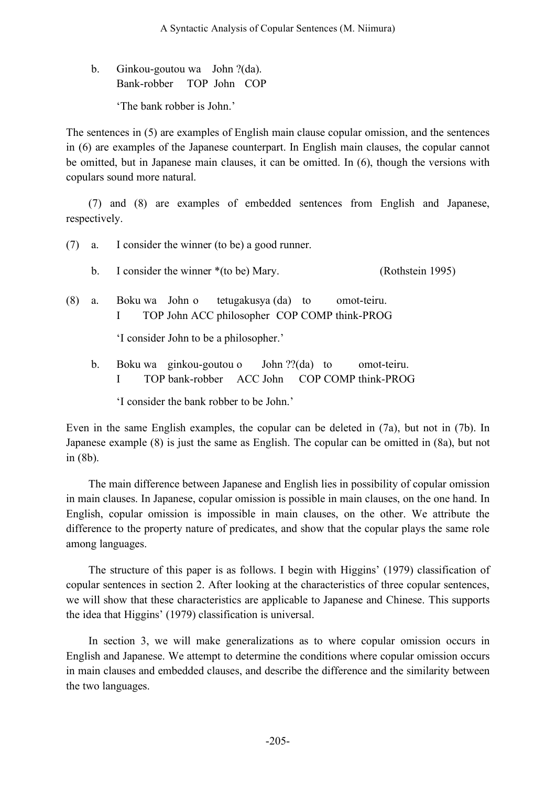b. Ginkou-goutou wa John ?(da). Bank-robber TOP John COP 'The bank robber is John.'

The sentences in (5) are examples of English main clause copular omission, and the sentences in (6) are examples of the Japanese counterpart. In English main clauses, the copular cannot be omitted, but in Japanese main clauses, it can be omitted. In (6), though the versions with copulars sound more natural.

(7) and (8) are examples of embedded sentences from English and Japanese, respectively.

| (7) | a.                                                                                                         | I consider the winner (to be) a good runner.                                                                |  |
|-----|------------------------------------------------------------------------------------------------------------|-------------------------------------------------------------------------------------------------------------|--|
|     | b.                                                                                                         | I consider the winner *(to be) Mary.<br>(Rothstein 1995)                                                    |  |
| (8) | tetugakusya (da) to<br>omot-teiru.<br>Boku wa John o<br>a.<br>TOP John ACC philosopher COP COMP think-PROG |                                                                                                             |  |
|     |                                                                                                            | 'I consider John to be a philosopher.'                                                                      |  |
|     | b.                                                                                                         | Boku wa ginkou-goutou o John $?$ ? $(da)$ to<br>omot-teiru.<br>TOP bank-robber ACC John COP COMP think-PROG |  |

'I consider the bank robber to be John.'

Even in the same English examples, the copular can be deleted in (7a), but not in (7b). In Japanese example (8) is just the same as English. The copular can be omitted in (8a), but not in (8b).

The main difference between Japanese and English lies in possibility of copular omission in main clauses. In Japanese, copular omission is possible in main clauses, on the one hand. In English, copular omission is impossible in main clauses, on the other. We attribute the difference to the property nature of predicates, and show that the copular plays the same role among languages.

The structure of this paper is as follows. I begin with Higgins' (1979) classification of copular sentences in section 2. After looking at the characteristics of three copular sentences, we will show that these characteristics are applicable to Japanese and Chinese. This supports the idea that Higgins' (1979) classification is universal.

In section 3, we will make generalizations as to where copular omission occurs in English and Japanese. We attempt to determine the conditions where copular omission occurs in main clauses and embedded clauses, and describe the difference and the similarity between the two languages.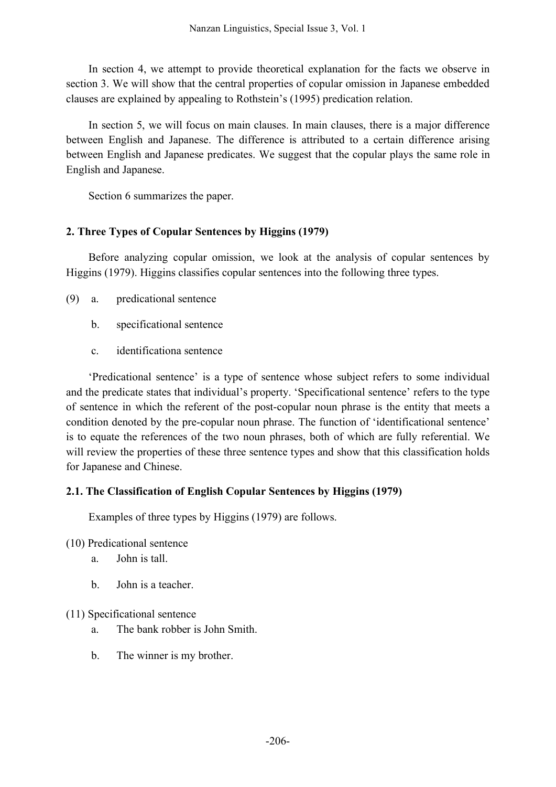In section 4, we attempt to provide theoretical explanation for the facts we observe in section 3. We will show that the central properties of copular omission in Japanese embedded clauses are explained by appealing to Rothstein's (1995) predication relation.

In section 5, we will focus on main clauses. In main clauses, there is a major difference between English and Japanese. The difference is attributed to a certain difference arising between English and Japanese predicates. We suggest that the copular plays the same role in English and Japanese.

Section 6 summarizes the paper.

# **2. Three Types of Copular Sentences by Higgins (1979)**

Before analyzing copular omission, we look at the analysis of copular sentences by Higgins (1979). Higgins classifies copular sentences into the following three types.

- (9) a. predicational sentence
	- b. specificational sentence
	- c. identificationa sentence

'Predicational sentence' is a type of sentence whose subject refers to some individual and the predicate states that individual's property. 'Specificational sentence' refers to the type of sentence in which the referent of the post-copular noun phrase is the entity that meets a condition denoted by the pre-copular noun phrase. The function of 'identificational sentence' is to equate the references of the two noun phrases, both of which are fully referential. We will review the properties of these three sentence types and show that this classification holds for Japanese and Chinese.

# **2.1. The Classification of English Copular Sentences by Higgins (1979)**

Examples of three types by Higgins (1979) are follows.

- (10) Predicational sentence
	- a. John is tall.
	- b. John is a teacher.

# (11) Specificational sentence

- a. The bank robber is John Smith.
- b. The winner is my brother.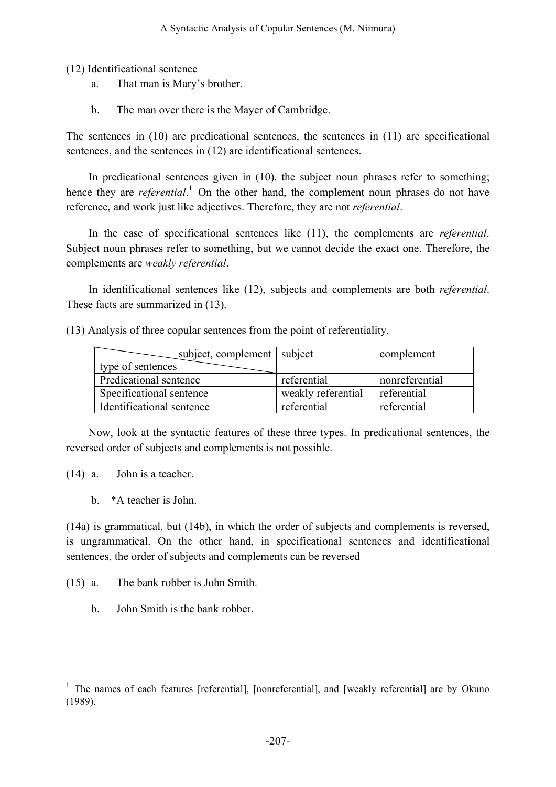(12) Identificational sentence

- a. That man is Mary's brother.
- b. The man over there is the Mayer of Cambridge.

The sentences in (10) are predicational sentences, the sentences in (11) are specificational sentences, and the sentences in (12) are identificational sentences.

In predicational sentences given in (10), the subject noun phrases refer to something; hence they are *referential*.<sup>1</sup> On the other hand, the complement noun phrases do not have reference, and work just like adjectives. Therefore, they are not *referential*.

In the case of specificational sentences like (11), the complements are *referential*. Subject noun phrases refer to something, but we cannot decide the exact one. Therefore, the complements are *weakly referential*.

In identificational sentences like (12), subjects and complements are both *referential*. These facts are summarized in (13).

(13) Analysis of three copular sentences from the point of referentiality.

| subject, complement   subject |                    | complement     |
|-------------------------------|--------------------|----------------|
| type of sentences             |                    |                |
| Predicational sentence        | referential        | nonreferential |
| Specificational sentence      | weakly referential | referential    |
| Identificational sentence     | referential        | referential    |

Now, look at the syntactic features of these three types. In predicational sentences, the reversed order of subjects and complements is not possible.

(14) a. John is a teacher.

b. \*A teacher is John.

(14a) is grammatical, but (14b), in which the order of subjects and complements is reversed, is ungrammatical. On the other hand, in specificational sentences and identificational sentences, the order of subjects and complements can be reversed

- (15) a. The bank robber is John Smith.
	- b. John Smith is the bank robber.

<sup>&</sup>lt;sup>1</sup> The names of each features [referential], [nonreferential], and [weakly referential] are by Okuno (1989).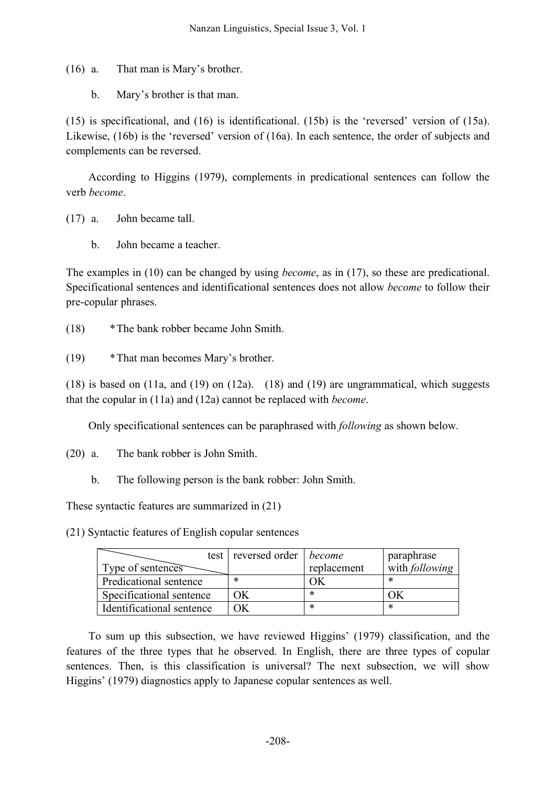(16) a. That man is Mary's brother.

b. Mary's brother is that man.

(15) is specificational, and (16) is identificational. (15b) is the 'reversed' version of (15a). Likewise, (16b) is the 'reversed' version of (16a). In each sentence, the order of subjects and complements can be reversed.

According to Higgins (1979), complements in predicational sentences can follow the verb *become*.

(17) a. John became tall.

b. John became a teacher.

The examples in (10) can be changed by using *become*, as in (17), so these are predicational. Specificational sentences and identificational sentences does not allow *become* to follow their pre-copular phrases.

- (18) \*The bank robber became John Smith.
- (19) \*That man becomes Mary's brother.

(18) is based on (11a, and (19) on (12a). (18) and (19) are ungrammatical, which suggests that the copular in (11a) and (12a) cannot be replaced with *become*.

Only specificational sentences can be paraphrased with *following* as shown below.

- (20) a. The bank robber is John Smith.
	- b. The following person is the bank robber: John Smith.

These syntactic features are summarized in (21)

(21) Syntactic features of English copular sentences

|                           | test reversed order | become      | paraphrase            |
|---------------------------|---------------------|-------------|-----------------------|
| Type of sentences         |                     | replacement | with <i>following</i> |
| Predicational sentence    | ∗                   |             | ∗                     |
| Specificational sentence  |                     | $\ast$      |                       |
| Identificational sentence |                     | ∗           | ∗                     |

To sum up this subsection, we have reviewed Higgins' (1979) classification, and the features of the three types that he observed. In English, there are three types of copular sentences. Then, is this classification is universal? The next subsection, we will show Higgins' (1979) diagnostics apply to Japanese copular sentences as well.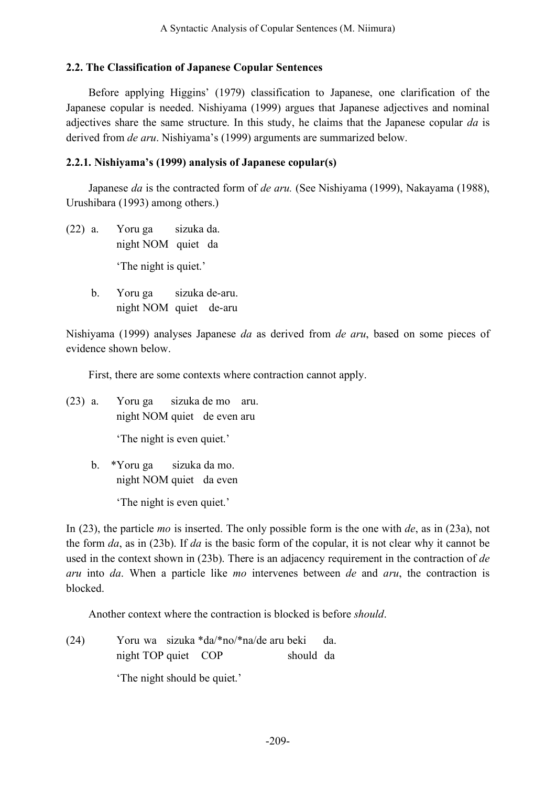### **2.2. The Classification of Japanese Copular Sentences**

Before applying Higgins' (1979) classification to Japanese, one clarification of the Japanese copular is needed. Nishiyama (1999) argues that Japanese adjectives and nominal adjectives share the same structure. In this study, he claims that the Japanese copular *da* is derived from *de aru*. Nishiyama's (1999) arguments are summarized below.

### **2.2.1. Nishiyama's (1999) analysis of Japanese copular(s)**

Japanese *da* is the contracted form of *de aru.* (See Nishiyama (1999), Nakayama (1988), Urushibara (1993) among others.)

- (22) a. Yoru ga sizuka da. night NOM quiet da 'The night is quiet.'
	- b. Yoru ga sizuka de-aru. night NOM quiet de-aru

Nishiyama (1999) analyses Japanese *da* as derived from *de aru*, based on some pieces of evidence shown below.

First, there are some contexts where contraction cannot apply.

(23) a. Yoru ga sizuka de mo aru. night NOM quiet de even aru

'The night is even quiet.'

b. \*Yoru ga sizuka da mo. night NOM quiet da even

'The night is even quiet.'

In (23), the particle *mo* is inserted. The only possible form is the one with *de*, as in (23a), not the form *da*, as in (23b). If *da* is the basic form of the copular, it is not clear why it cannot be used in the context shown in (23b). There is an adjacency requirement in the contraction of *de aru* into *da*. When a particle like *mo* intervenes between *de* and *aru*, the contraction is blocked.

Another context where the contraction is blocked is before *should*.

(24) Yoru wa sizuka \*da/\*no/\*na/de aru beki da. night TOP quiet COP should da

'The night should be quiet.'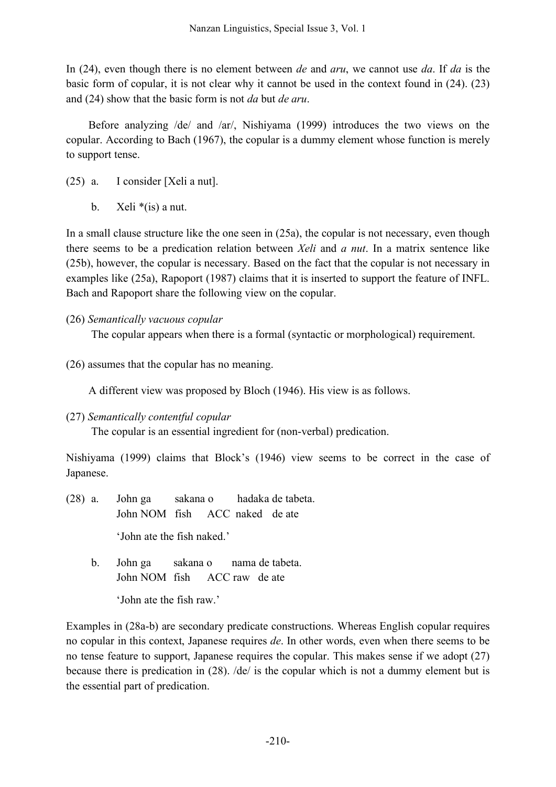In (24), even though there is no element between *de* and *aru*, we cannot use *da*. If *da* is the basic form of copular, it is not clear why it cannot be used in the context found in (24). (23) and (24) show that the basic form is not *da* but *de aru*.

Before analyzing /de/ and /ar/, Nishiyama (1999) introduces the two views on the copular. According to Bach (1967), the copular is a dummy element whose function is merely to support tense.

- (25) a. I consider [Xeli a nut].
	- b. Xeli  $*(is)$  a nut.

In a small clause structure like the one seen in (25a), the copular is not necessary, even though there seems to be a predication relation between *Xeli* and *a nut*. In a matrix sentence like (25b), however, the copular is necessary. Based on the fact that the copular is not necessary in examples like (25a), Rapoport (1987) claims that it is inserted to support the feature of INFL. Bach and Rapoport share the following view on the copular.

(26) *Semantically vacuous copular*

The copular appears when there is a formal (syntactic or morphological) requirement.

(26) assumes that the copular has no meaning.

A different view was proposed by Bloch (1946). His view is as follows.

(27) *Semantically contentful copular*

The copular is an essential ingredient for (non-verbal) predication.

Nishiyama (1999) claims that Block's (1946) view seems to be correct in the case of Japanese.

- (28) a. John ga sakana o hadaka de tabeta. John NOM fish ACC naked de ate 'John ate the fish naked.'
	- b. John ga sakana o nama de tabeta. John NOM fish ACC raw de ate

'John ate the fish raw.'

Examples in (28a-b) are secondary predicate constructions. Whereas English copular requires no copular in this context, Japanese requires *de*. In other words, even when there seems to be no tense feature to support, Japanese requires the copular. This makes sense if we adopt (27) because there is predication in (28). /de/ is the copular which is not a dummy element but is the essential part of predication.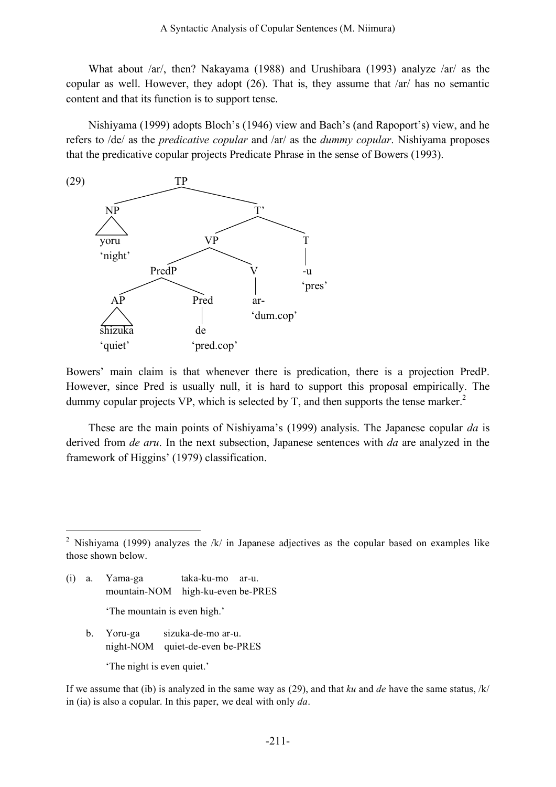What about /ar/, then? Nakayama (1988) and Urushibara (1993) analyze /ar/ as the copular as well. However, they adopt (26). That is, they assume that /ar/ has no semantic content and that its function is to support tense.

Nishiyama (1999) adopts Bloch's (1946) view and Bach's (and Rapoport's) view, and he refers to /de/ as the *predicative copular* and /ar/ as the *dummy copular*. Nishiyama proposes that the predicative copular projects Predicate Phrase in the sense of Bowers (1993).



Bowers' main claim is that whenever there is predication, there is a projection PredP. However, since Pred is usually null, it is hard to support this proposal empirically. The dummy copular projects VP, which is selected by  $T$ , and then supports the tense marker.<sup>2</sup>

These are the main points of Nishiyama's (1999) analysis. The Japanese copular *da* is derived from *de aru*. In the next subsection, Japanese sentences with *da* are analyzed in the framework of Higgins' (1979) classification.

- (i) a. Yama-ga taka-ku-mo ar-u. mountain-NOM high-ku-even be-PRES 'The mountain is even high.'
	- b. Yoru-ga sizuka-de-mo ar-u. night-NOM quiet-de-even be-PRES

'The night is even quiet.'

If we assume that (ib) is analyzed in the same way as (29), and that *ku* and *de* have the same status, /k/ in (ia) is also a copular. In this paper, we deal with only *da*.

<sup>&</sup>lt;sup>2</sup> Nishiyama (1999) analyzes the /k/ in Japanese adjectives as the copular based on examples like those shown below.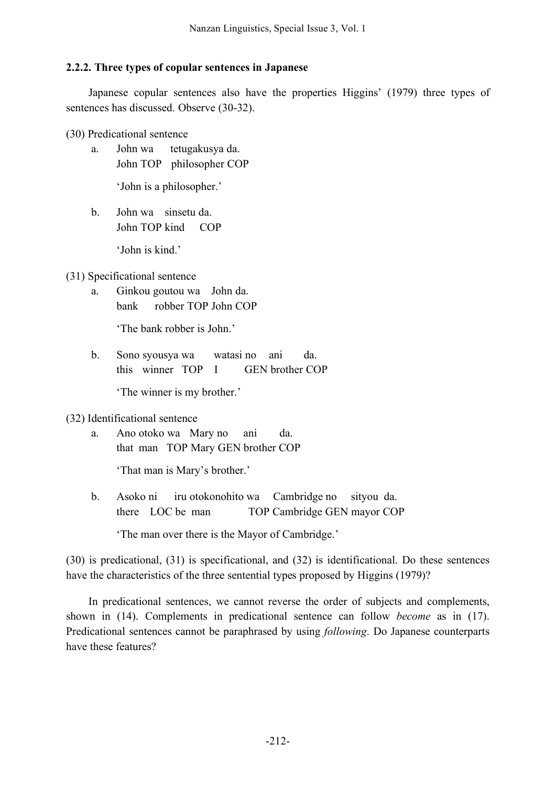# **2.2.2. Three types of copular sentences in Japanese**

Japanese copular sentences also have the properties Higgins' (1979) three types of sentences has discussed. Observe (30-32).

(30) Predicational sentence

a. John wa tetugakusya da. John TOP philosopher COP

'John is a philosopher.'

b. John wa sinsetu da. John TOP kind COP

'John is kind.'

(31) Specificational sentence

a. Ginkou goutou wa John da. bank robber TOP John COP

'The bank robber is John.'

b. Sono syousya wa watasi no ani da. this winner TOP I GEN brother COP

'The winner is my brother.'

# (32) Identificational sentence

a. Ano otoko wa Mary no ani da. that man TOP Mary GEN brother COP

'That man is Mary's brother.'

b. Asoko ni iru otokonohito wa Cambridge no sityou da. there LOC be man TOP Cambridge GEN mayor COP

'The man over there is the Mayor of Cambridge.'

(30) is predicational, (31) is specificational, and (32) is identificational. Do these sentences have the characteristics of the three sentential types proposed by Higgins (1979)?

In predicational sentences, we cannot reverse the order of subjects and complements, shown in (14). Complements in predicational sentence can follow *become* as in (17). Predicational sentences cannot be paraphrased by using *following*. Do Japanese counterparts have these features?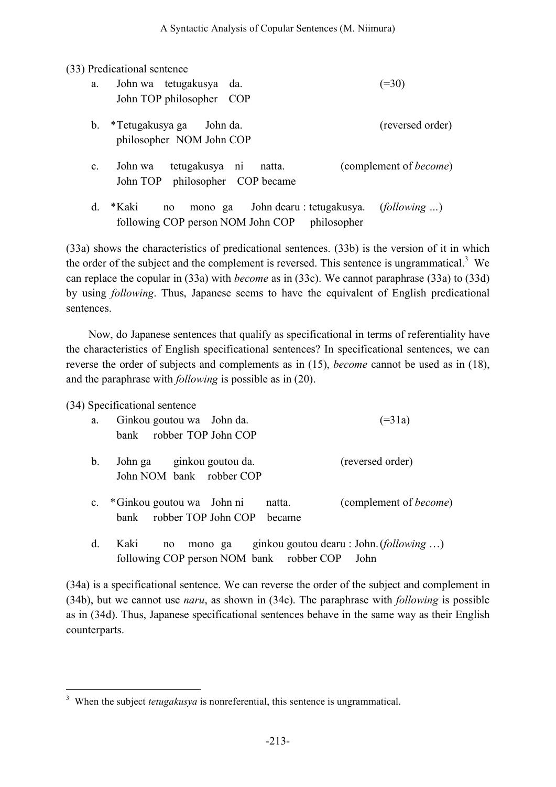(33) Predicational sentence

| a.             | John wa tetugakusya da.<br>John TOP philosopher COP                 |                                                               | $(=30)$                        |
|----------------|---------------------------------------------------------------------|---------------------------------------------------------------|--------------------------------|
| $\mathbf{b}$ . | *Tetugakusya ga John da.<br>philosopher NOM John COP                |                                                               | (reversed order)               |
| $\mathbf{c}$ . | tetugakusya ni natta.<br>John wa<br>John TOP philosopher COP became |                                                               | (complement of <i>become</i> ) |
| $d_{\cdot}$    | *Kaki<br>no<br>following COP person NOM John COP                    | mono ga John dearu : tetugakusya. (following )<br>philosopher |                                |

(33a) shows the characteristics of predicational sentences. (33b) is the version of it in which the order of the subject and the complement is reversed. This sentence is ungrammatical.<sup>3</sup> We can replace the copular in (33a) with *become* as in (33c). We cannot paraphrase (33a) to (33d) by using *following*. Thus, Japanese seems to have the equivalent of English predicational sentences.

Now, do Japanese sentences that qualify as specificational in terms of referentiality have the characteristics of English specificational sentences? In specificational sentences, we can reverse the order of subjects and complements as in (15), *become* cannot be used as in (18), and the paraphrase with *following* is possible as in (20).

(34) Specificational sentence

| a.             | Ginkou goutou wa John da.<br>robber TOP John COP<br>bank                     | $( = 31a)$                                       |
|----------------|------------------------------------------------------------------------------|--------------------------------------------------|
| $\mathbf{b}$ . | John ga ginkou goutou da.<br>John NOM bank robber COP                        | (reversed order)                                 |
| $\mathbf{c}$ . | *Ginkou goutou wa John ni<br>natta.<br>robber TOP John COP<br>hank<br>became | (complement of <i>become</i> )                   |
| d.             | Kaki<br>mono ga<br>no<br>following COP person NOM bank robber COP            | ginkou goutou dearu : John. (following )<br>John |

(34a) is a specificational sentence. We can reverse the order of the subject and complement in (34b), but we cannot use *naru*, as shown in (34c). The paraphrase with *following* is possible as in (34d). Thus, Japanese specificational sentences behave in the same way as their English counterparts.

<sup>&</sup>lt;sup>3</sup> When the subject *tetugakusya* is nonreferential, this sentence is ungrammatical.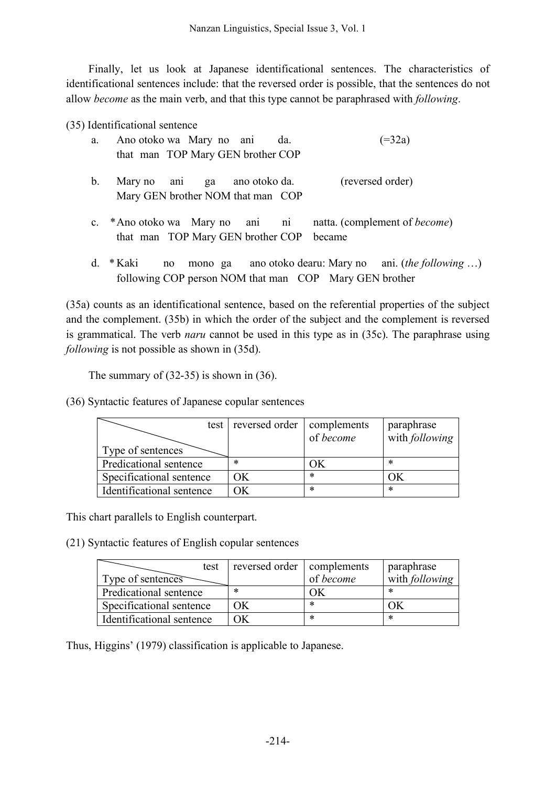Finally, let us look at Japanese identificational sentences. The characteristics of identificational sentences include: that the reversed order is possible, that the sentences do not allow *become* as the main verb, and that this type cannot be paraphrased with *following*.

(35) Identificational sentence

| a. Ano otoko wa Mary no ani da.                                      | $( = 32a)$       |
|----------------------------------------------------------------------|------------------|
| that man TOP Mary GEN brother COP                                    |                  |
| b. Mary no ani ga ano otoko da.<br>Mary GEN brother NOM that man COP | (reversed order) |

- c. \*Ano otoko wa Mary no ani ni natta. (complement of *become*) that man TOP Mary GEN brother COP became
- d. \* Kaki no mono ga ano otoko dearu: Mary no ani. (*the following* …) following COP person NOM that man COP Mary GEN brother

(35a) counts as an identificational sentence, based on the referential properties of the subject and the complement. (35b) in which the order of the subject and the complement is reversed is grammatical. The verb *naru* cannot be used in this type as in (35c). The paraphrase using *following* is not possible as shown in (35d).

The summary of (32-35) is shown in (36).

(36) Syntactic features of Japanese copular sentences

| Type of sentences         | test reversed order | complements<br>of become | paraphrase<br>with following |
|---------------------------|---------------------|--------------------------|------------------------------|
| Predicational sentence    | ∗                   | ЭK                       | ∗                            |
| Specificational sentence  | ОK                  | $\ast$                   |                              |
| Identificational sentence | Ж                   | *                        | $\ast$                       |

This chart parallels to English counterpart.

(21) Syntactic features of English copular sentences

| test                      | reversed order   complements |           | paraphrase     |
|---------------------------|------------------------------|-----------|----------------|
| Type of sentences         |                              | of become | with following |
| Predicational sentence    | ∗                            |           | ∗              |
| Specificational sentence  | ЭK                           | *         |                |
| Identificational sentence | ЭK                           | ∗         | ∗              |

Thus, Higgins' (1979) classification is applicable to Japanese.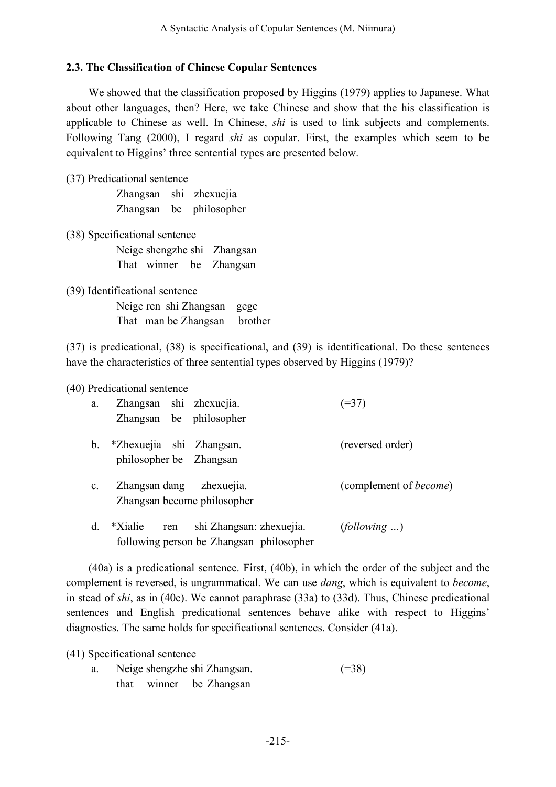#### **2.3. The Classification of Chinese Copular Sentences**

We showed that the classification proposed by Higgins (1979) applies to Japanese. What about other languages, then? Here, we take Chinese and show that the his classification is applicable to Chinese as well. In Chinese, *shi* is used to link subjects and complements. Following Tang (2000), I regard *shi* as copular. First, the examples which seem to be equivalent to Higgins' three sentential types are presented below.

(37) Predicational sentence

Zhangsan shi zhexuejia Zhangsan be philosopher

(38) Specificational sentence Neige shengzhe shi Zhangsan That winner be Zhangsan

(39) Identificational sentence Neige ren shi Zhangsan gege That man be Zhangsan brother

(37) is predicational, (38) is specificational, and (39) is identificational. Do these sentences have the characteristics of three sentential types observed by Higgins (1979)?

(40) Predicational sentence

| a.             | Zhangsan shi zhexuejia.<br>Zhangsan be philosopher                                     | $(=37)$                        |
|----------------|----------------------------------------------------------------------------------------|--------------------------------|
| $\mathbf b$ .  | *Zhexuejia shi Zhangsan.<br>philosopher be Zhangsan                                    | (reversed order)               |
| $\mathbf{c}$ . | Zhangsan dang zhexuejia.<br>Zhangsan become philosopher                                | (complement of <i>become</i> ) |
| d.             | shi Zhangsan: zhexuejia.<br>*Xialie<br>ren<br>following person be Zhangsan philosopher | (following )                   |

(40a) is a predicational sentence. First, (40b), in which the order of the subject and the complement is reversed, is ungrammatical. We can use *dang*, which is equivalent to *become*, in stead of *shi*, as in (40c). We cannot paraphrase (33a) to (33d). Thus, Chinese predicational sentences and English predicational sentences behave alike with respect to Higgins' diagnostics. The same holds for specificational sentences. Consider (41a).

(41) Specificational sentence

a. Neige shengzhe shi Zhangsan. (=38) that winner be Zhangsan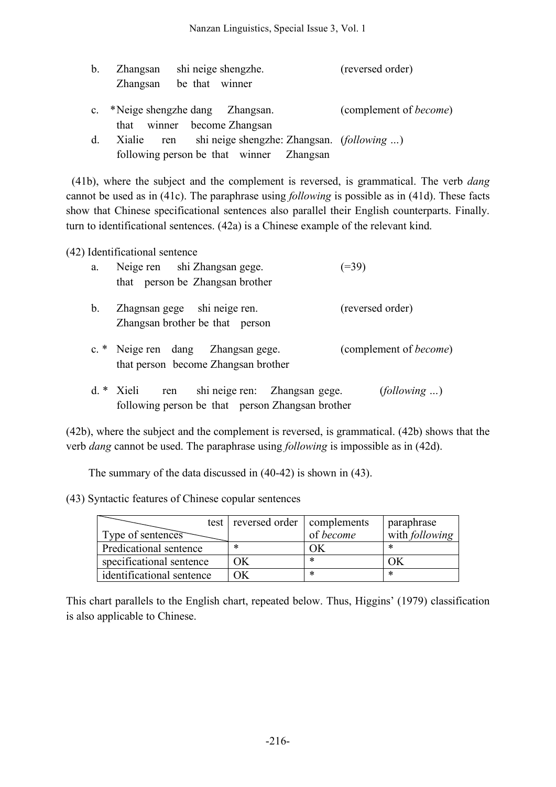| $\mathbf{b}$ . | Zhangsan   | shi neige shengzhe.                         | (reversed order)               |
|----------------|------------|---------------------------------------------|--------------------------------|
|                | Zhangsan   | be that winner                              |                                |
| $\mathbf{c}$ . |            | *Neige shengzhe dang Zhangsan.              | (complement of <i>become</i> ) |
|                |            | that winner become Zhangsan                 |                                |
| $d_{\cdot}$    | Xialie ren | shi neige shengzhe: Zhangsan. (following )  |                                |
|                |            | following person be that winner<br>Zhangsan |                                |

(41b), where the subject and the complement is reversed, is grammatical. The verb *dang* cannot be used as in (41c). The paraphrase using *following* is possible as in (41d). These facts show that Chinese specificational sentences also parallel their English counterparts. Finally. turn to identificational sentences. (42a) is a Chinese example of the relevant kind.

(42) Identificational sentence

| a.            | Neige ren shi Zhangsan gege.<br>that person be Zhangsan brother                                          | $(=39)$                        |
|---------------|----------------------------------------------------------------------------------------------------------|--------------------------------|
| $\mathbf b$ . | Zhagnsan gege shi neige ren.<br>Zhangsan brother be that person                                          | (reversed order)               |
|               | c. * Neige ren dang Zhangsan gege.<br>that person become Zhangsan brother                                | (complement of <i>become</i> ) |
|               | $d. * Xieli$<br>shi neige ren: Zhangsan gege.<br>ren<br>following person be that person Zhangsan brother | (following )                   |

(42b), where the subject and the complement is reversed, is grammatical. (42b) shows that the verb *dang* cannot be used. The paraphrase using *following* is impossible as in (42d).

The summary of the data discussed in (40-42) is shown in (43).

(43) Syntactic features of Chinese copular sentences

| Type of sentences         | test reversed order complements | of become | paraphrase<br>with following |
|---------------------------|---------------------------------|-----------|------------------------------|
| Predicational sentence    | ∗                               |           | ∗                            |
| specificational sentence  | ΟK                              | ∗         |                              |
| identificational sentence | ЭK                              | ∗         | ∗                            |

This chart parallels to the English chart, repeated below. Thus, Higgins' (1979) classification is also applicable to Chinese.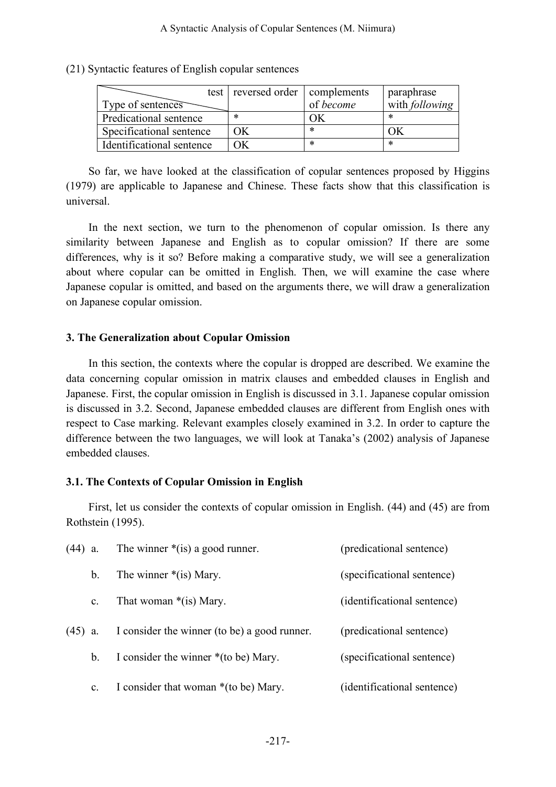(21) Syntactic features of English copular sentences

| Type of sentences         | test reversed order complements | of become | paraphrase<br>with following |
|---------------------------|---------------------------------|-----------|------------------------------|
| Predicational sentence    | ∗                               |           | ∗                            |
| Specificational sentence  | ЭK                              | *         |                              |
| Identificational sentence |                                 | $\ast$    | ∗                            |

So far, we have looked at the classification of copular sentences proposed by Higgins (1979) are applicable to Japanese and Chinese. These facts show that this classification is universal.

In the next section, we turn to the phenomenon of copular omission. Is there any similarity between Japanese and English as to copular omission? If there are some differences, why is it so? Before making a comparative study, we will see a generalization about where copular can be omitted in English. Then, we will examine the case where Japanese copular is omitted, and based on the arguments there, we will draw a generalization on Japanese copular omission.

#### **3. The Generalization about Copular Omission**

In this section, the contexts where the copular is dropped are described. We examine the data concerning copular omission in matrix clauses and embedded clauses in English and Japanese. First, the copular omission in English is discussed in 3.1. Japanese copular omission is discussed in 3.2. Second, Japanese embedded clauses are different from English ones with respect to Case marking. Relevant examples closely examined in 3.2. In order to capture the difference between the two languages, we will look at Tanaka's (2002) analysis of Japanese embedded clauses.

#### **3.1. The Contexts of Copular Omission in English**

First, let us consider the contexts of copular omission in English. (44) and (45) are from Rothstein (1995).

| $(44)$ a. |                | The winner $*(is)$ a good runner.            | (predicational sentence)    |
|-----------|----------------|----------------------------------------------|-----------------------------|
|           | b <sub>1</sub> | The winner $*(is)$ Mary.                     | (specificational sentence)  |
|           | $\mathbf{c}$ . | That woman $*(is)$ Mary.                     | (identificational sentence) |
| $(45)$ a. |                | I consider the winner (to be) a good runner. | (predicational sentence)    |
|           | $\mathbf b$ .  | I consider the winner $*($ to be) Mary.      | (specificational sentence)  |
|           | c.             | I consider that woman *(to be) Mary.         | (identificational sentence) |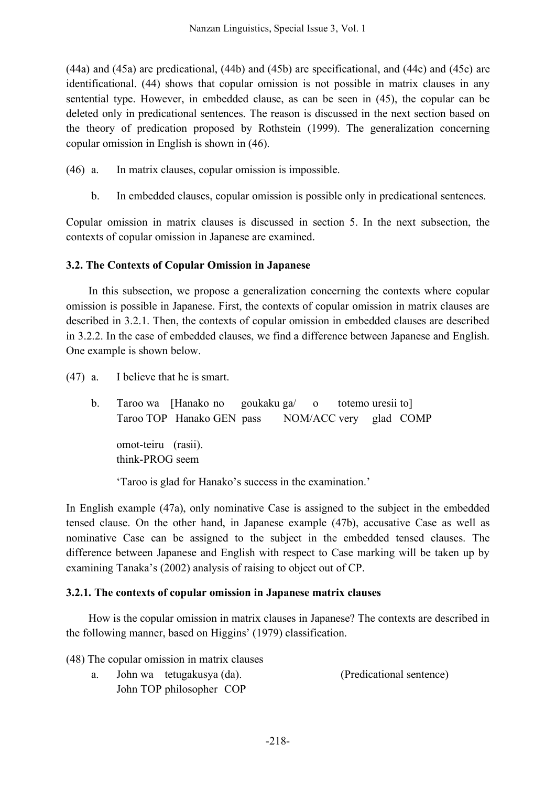(44a) and (45a) are predicational, (44b) and (45b) are specificational, and (44c) and (45c) are identificational. (44) shows that copular omission is not possible in matrix clauses in any sentential type. However, in embedded clause, as can be seen in (45), the copular can be deleted only in predicational sentences. The reason is discussed in the next section based on the theory of predication proposed by Rothstein (1999). The generalization concerning copular omission in English is shown in (46).

- (46) a. In matrix clauses, copular omission is impossible.
	- b. In embedded clauses, copular omission is possible only in predicational sentences.

Copular omission in matrix clauses is discussed in section 5. In the next subsection, the contexts of copular omission in Japanese are examined.

## **3.2. The Contexts of Copular Omission in Japanese**

In this subsection, we propose a generalization concerning the contexts where copular omission is possible in Japanese. First, the contexts of copular omission in matrix clauses are described in 3.2.1. Then, the contexts of copular omission in embedded clauses are described in 3.2.2. In the case of embedded clauses, we find a difference between Japanese and English. One example is shown below.

(47) a. I believe that he is smart.

b. Taroo wa [Hanako no goukaku ga/ o totemo uresii to] Taroo TOP Hanako GEN pass NOM/ACC very glad COMP omot-teiru (rasii). think-PROG seem

'Taroo is glad for Hanako's success in the examination.'

In English example (47a), only nominative Case is assigned to the subject in the embedded tensed clause. On the other hand, in Japanese example (47b), accusative Case as well as nominative Case can be assigned to the subject in the embedded tensed clauses. The difference between Japanese and English with respect to Case marking will be taken up by examining Tanaka's (2002) analysis of raising to object out of CP.

#### **3.2.1. The contexts of copular omission in Japanese matrix clauses**

How is the copular omission in matrix clauses in Japanese? The contexts are described in the following manner, based on Higgins' (1979) classification.

- (48) The copular omission in matrix clauses
	- a. John wa tetugakusya (da). (Predicational sentence)
		- John TOP philosopher COP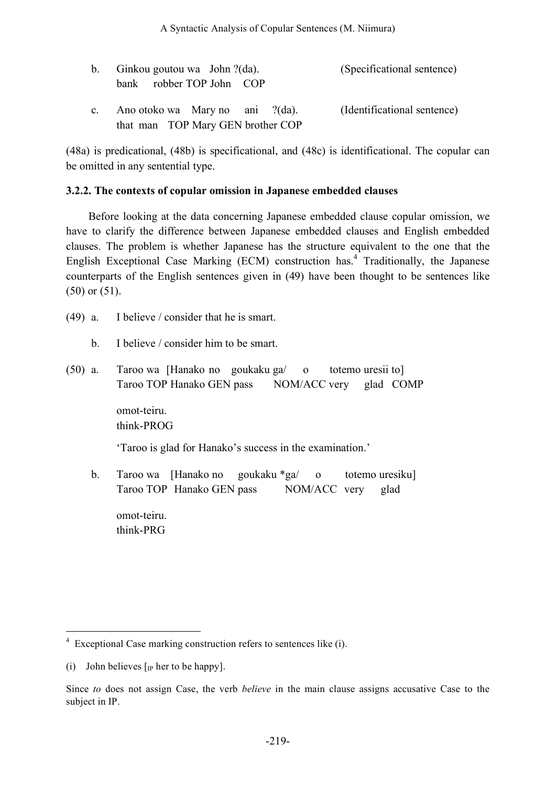| b. Ginkou goutou wa John $?$ (da). | (Specificational sentence)  |
|------------------------------------|-----------------------------|
| bank robber TOP John COP           |                             |
| c. Ano otoko wa Mary no ani ?(da). | (Identificational sentence) |
| that man TOP Mary GEN brother COP  |                             |

(48a) is predicational, (48b) is specificational, and (48c) is identificational. The copular can be omitted in any sentential type.

#### **3.2.2. The contexts of copular omission in Japanese embedded clauses**

Before looking at the data concerning Japanese embedded clause copular omission, we have to clarify the difference between Japanese embedded clauses and English embedded clauses. The problem is whether Japanese has the structure equivalent to the one that the English Exceptional Case Marking (ECM) construction has. <sup>4</sup> Traditionally, the Japanese counterparts of the English sentences given in (49) have been thought to be sentences like (50) or (51).

- (49) a. I believe / consider that he is smart.
	- b. I believe / consider him to be smart.
- (50) a. Taroo wa [Hanako no goukaku ga/ o totemo uresii to] Taroo TOP Hanako GEN pass NOM/ACC very glad COMP

omot-teiru. think-PROG

'Taroo is glad for Hanako's success in the examination.'

b. Taroo wa [Hanako no goukaku \*ga/ o totemo uresiku] Taroo TOP Hanako GEN pass NOM/ACC very glad

omot-teiru. think-PRG

 <sup>4</sup> Exceptional Case marking construction refers to sentences like (i).

<sup>(</sup>i) John believes  $\lceil$ <sub>IP</sub> her to be happy].

Since *to* does not assign Case, the verb *believe* in the main clause assigns accusative Case to the subject in IP.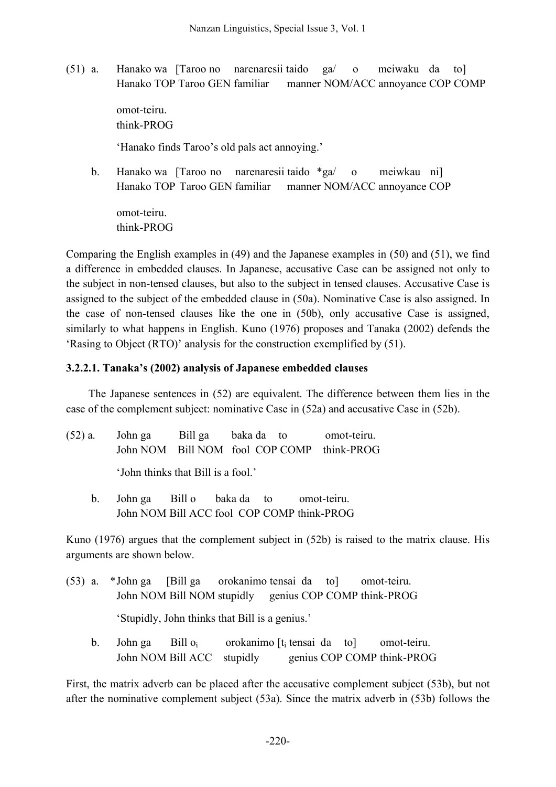(51) a. Hanako wa [Taroo no narenaresii taido ga/ o meiwaku da to] Hanako TOP Taroo GEN familiar manner NOM/ACC annoyance COP COMP

> omot-teiru. think-PROG

'Hanako finds Taroo's old pals act annoying.'

b. Hanako wa [Taroo no narenaresii taido \*ga/ o meiwkau ni] Hanako TOP Taroo GEN familiar manner NOM/ACC annoyance COP

omot-teiru. think-PROG

Comparing the English examples in (49) and the Japanese examples in (50) and (51), we find a difference in embedded clauses. In Japanese, accusative Case can be assigned not only to the subject in non-tensed clauses, but also to the subject in tensed clauses. Accusative Case is assigned to the subject of the embedded clause in (50a). Nominative Case is also assigned. In the case of non-tensed clauses like the one in (50b), only accusative Case is assigned, similarly to what happens in English. Kuno (1976) proposes and Tanaka (2002) defends the 'Rasing to Object (RTO)' analysis for the construction exemplified by (51).

#### **3.2.2.1. Tanaka's (2002) analysis of Japanese embedded clauses**

The Japanese sentences in (52) are equivalent. The difference between them lies in the case of the complement subject: nominative Case in (52a) and accusative Case in (52b).

| $(52)$ a. | John ga                            | Bill ga baka da to |  | omot-teiru.                                |
|-----------|------------------------------------|--------------------|--|--------------------------------------------|
|           |                                    |                    |  | John NOM Bill NOM fool COP COMP think-PROG |
|           | 'John thinks that Bill is a fool.' |                    |  |                                            |

b. John ga Bill o baka da to omot-teiru. John NOM Bill ACC fool COP COMP think-PROG

Kuno (1976) argues that the complement subject in (52b) is raised to the matrix clause. His arguments are shown below.

- (53) a. \*John ga [Bill ga orokanimo tensai da to] omot-teiru. John NOM Bill NOM stupidly genius COP COMP think-PROG 'Stupidly, John thinks that Bill is a genius.'
	- b. John ga Bill o<sub>i</sub> orokanimo [t<sub>i</sub> tensai da to] omot-teiru. John NOM Bill ACC stupidly genius COP COMP think-PROG

First, the matrix adverb can be placed after the accusative complement subject (53b), but not after the nominative complement subject (53a). Since the matrix adverb in (53b) follows the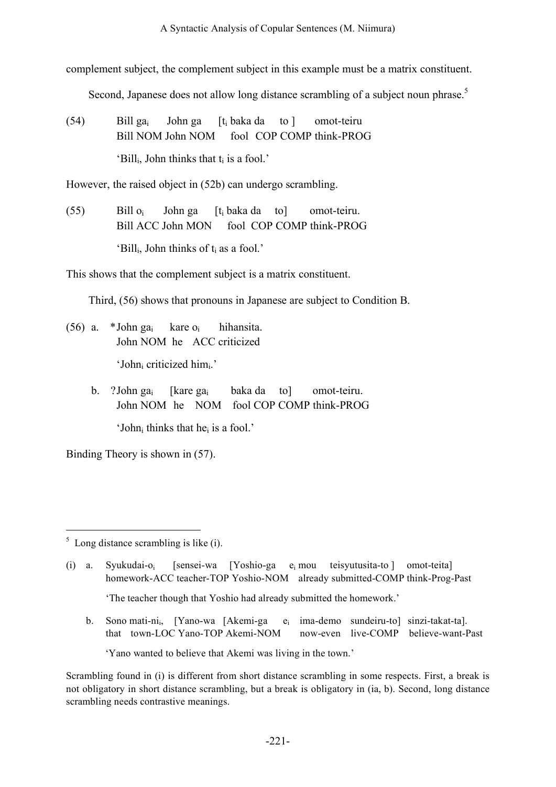complement subject, the complement subject in this example must be a matrix constituent.

Second, Japanese does not allow long distance scrambling of a subject noun phrase.<sup>5</sup>

(54) Bill gai John ga [ti baka da to ] omot-teiru Bill NOM John NOM fool COP COMP think-PROG 'Bill<sub>i</sub>, John thinks that  $t_i$  is a fool.'

However, the raised object in (52b) can undergo scrambling.

(55) Bill oi John ga [ti baka da to] omot-teiru. Bill ACC John MON fool COP COMP think-PROG 'Bill<sub>i</sub>, John thinks of  $t_i$  as a fool.'

This shows that the complement subject is a matrix constituent.

Third, (56) shows that pronouns in Japanese are subject to Condition B.

- (56) a.  $*$ John ga<sub>i</sub> kare o<sub>i</sub> hihansita. John NOM he ACC criticized 'John<sub>i</sub> criticized him<sub>i</sub>.'
	- b. ?John gai [kare gai baka da to] omot-teiru. John NOM he NOM fool COP COMP think-PROG 'Johni thinks that hei is a fool.'

Binding Theory is shown in (57).

 $<sup>5</sup>$  Long distance scrambling is like (i).</sup>

(i) a. Syukudai-oi [sensei-wa [Yoshio-ga ei mou teisyutusita-to ] omot-teita] homework-ACC teacher-TOP Yoshio-NOM already submitted-COMP think-Prog-Past

'The teacher though that Yoshio had already submitted the homework.'

b. Sono mati-ni<sub>i</sub>, [Yano-wa [Akemi-ga e<sub>i</sub> ima-demo sundeiru-to] sinzi-takat-ta]. that town-LOC Yano-TOP Akemi-NOM now-even live-COMP believe-want-Past

'Yano wanted to believe that Akemi was living in the town.'

Scrambling found in (i) is different from short distance scrambling in some respects. First, a break is not obligatory in short distance scrambling, but a break is obligatory in (ia, b). Second, long distance scrambling needs contrastive meanings.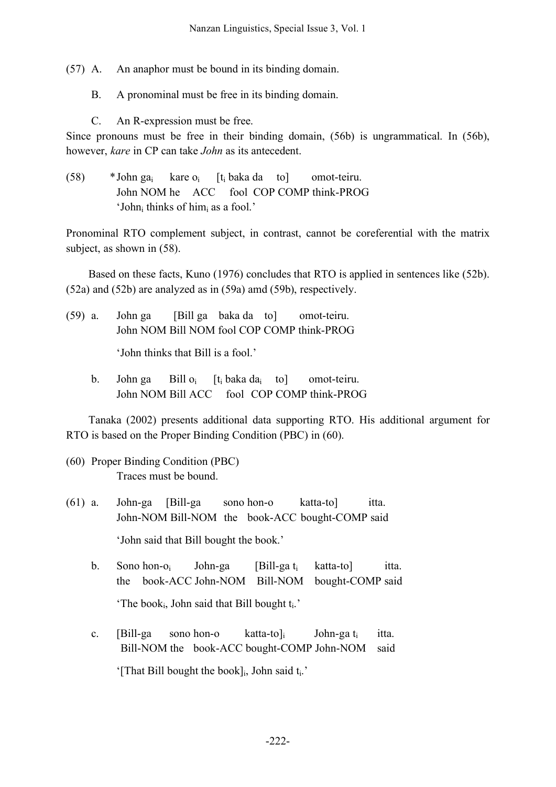(57) A. An anaphor must be bound in its binding domain.

B. A pronominal must be free in its binding domain.

C. An R-expression must be free.

Since pronouns must be free in their binding domain, (56b) is ungrammatical. In (56b), however, *kare* in CP can take *John* as its antecedent.

(58) \*John ga<sub>i</sub> kare o<sub>i</sub>  $[t_i$  baka da to omot-teiru. John NOM he ACC fool COP COMP think-PROG 'John<sub>i</sub> thinks of him<sub>i</sub> as a fool.'

Pronominal RTO complement subject, in contrast, cannot be coreferential with the matrix subject, as shown in (58).

Based on these facts, Kuno (1976) concludes that RTO is applied in sentences like (52b). (52a) and (52b) are analyzed as in (59a) amd (59b), respectively.

(59) a. John ga [Bill ga baka da to] omot-teiru. John NOM Bill NOM fool COP COMP think-PROG

'John thinks that Bill is a fool.'

b. John ga Bill  $o_i$   $[t_i$  baka da<sub>i</sub> to mot-teiru. John NOM Bill ACC fool COP COMP think-PROG

Tanaka (2002) presents additional data supporting RTO. His additional argument for RTO is based on the Proper Binding Condition (PBC) in (60).

- (60) Proper Binding Condition (PBC) Traces must be bound.
- (61) a. John-ga [Bill-ga sono hon-o katta-to] itta. John-NOM Bill-NOM the book-ACC bought-COMP said 'John said that Bill bought the book.'
	- b. Sono hon-o<sub>i</sub> John-ga [Bill-ga t<sub>i</sub> katta-to] itta. the book-ACC John-NOM Bill-NOM bought-COMP said 'The book $_{i}$ , John said that Bill bought  $t_{i}$ .'
	- c. [Bill-ga sono hon-o katta-to] John-ga t<sub>i</sub> itta. Bill-NOM the book-ACC bought-COMP John-NOM said '[That Bill bought the book] $_{i}$ , John said  $t_{i}$ .'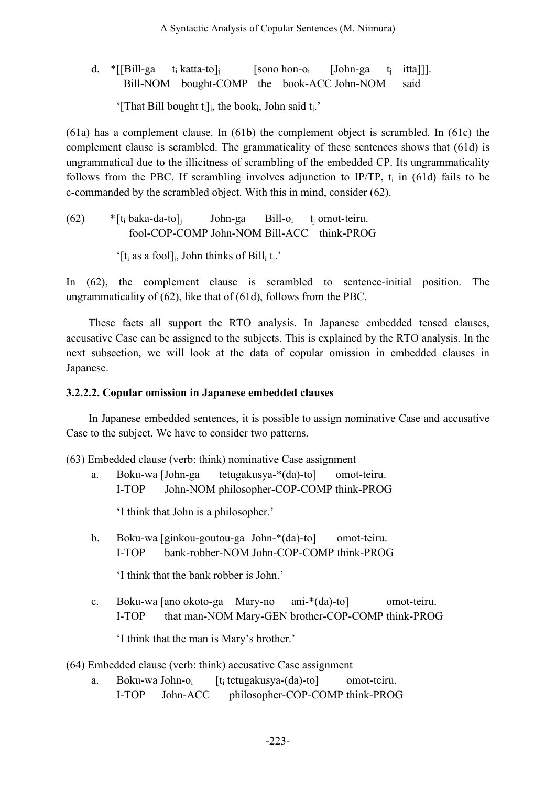d. \*[[Bill-ga t<sub>i</sub> katta-to]<sub>i</sub> [sono hon-o<sub>i</sub> [John-ga t<sub>i</sub> itta]]]. Bill-NOM bought-COMP the book-ACC John-NOM said

'[That Bill bought  $t_i$ ]<sub>i</sub>, the book<sub>i</sub>, John said  $t_i$ .'

(61a) has a complement clause. In (61b) the complement object is scrambled. In (61c) the complement clause is scrambled. The grammaticality of these sentences shows that (61d) is ungrammatical due to the illicitness of scrambling of the embedded CP. Its ungrammaticality follows from the PBC. If scrambling involves adjunction to IP/TP,  $t_i$  in (61d) fails to be c-commanded by the scrambled object. With this in mind, consider (62).

(62) 
$$
* [t_i \text{ baka-da-to}]_j
$$
 John-ga Bill-o<sub>i</sub> to not-teiru.   
\n601-COP-COMP John-NOM Bill-ACC think-PROG

'[ $t_i$  as a fool]<sub>i</sub>, John thinks of Bill<sub>i</sub>  $t_i$ .'

In (62), the complement clause is scrambled to sentence-initial position. The ungrammaticality of (62), like that of (61d), follows from the PBC.

These facts all support the RTO analysis. In Japanese embedded tensed clauses, accusative Case can be assigned to the subjects. This is explained by the RTO analysis. In the next subsection, we will look at the data of copular omission in embedded clauses in Japanese.

#### **3.2.2.2. Copular omission in Japanese embedded clauses**

In Japanese embedded sentences, it is possible to assign nominative Case and accusative Case to the subject. We have to consider two patterns.

(63) Embedded clause (verb: think) nominative Case assignment

a. Boku-wa [John-ga tetugakusya-\*(da)-to] omot-teiru. I-TOP John-NOM philosopher-COP-COMP think-PROG

'I think that John is a philosopher.'

b. Boku-wa [ginkou-goutou-ga John-\*(da)-to] omot-teiru. I-TOP bank-robber-NOM John-COP-COMP think-PROG

'I think that the bank robber is John.'

c. Boku-wa [ano okoto-ga Mary-no ani-\*(da)-to] omot-teiru. I-TOP that man-NOM Mary-GEN brother-COP-COMP think-PROG

'I think that the man is Mary's brother.'

(64) Embedded clause (verb: think) accusative Case assignment

a. Boku-wa John- $o_i$  [t<sub>i</sub> tetugakusya-(da)-to] omot-teiru. I-TOP John-ACC philosopher-COP-COMP think-PROG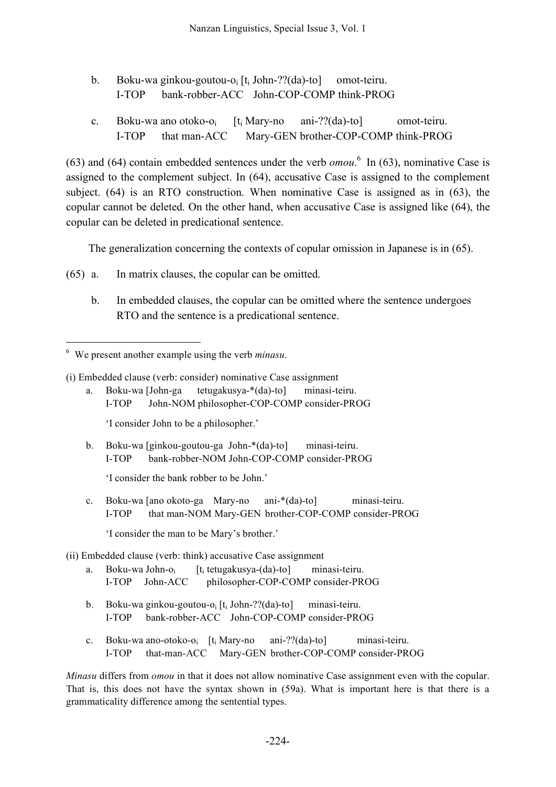- b. Boku-wa ginkou-goutou-o<sub>i</sub> [t<sub>i</sub> John-??(da)-to] omot-teiru. I-TOP bank-robber-ACC John-COP-COMP think-PROG
- c. Boku-wa ano otoko-oi [ti Mary-no ani-??(da)-to] omot-teiru. I-TOP that man-ACC Mary-GEN brother-COP-COMP think-PROG

(63) and (64) contain embedded sentences under the verb  $omou$ <sup>6</sup>. In (63), nominative Case is assigned to the complement subject. In (64), accusative Case is assigned to the complement subject. (64) is an RTO construction. When nominative Case is assigned as in (63), the copular cannot be deleted. On the other hand, when accusative Case is assigned like (64), the copular can be deleted in predicational sentence.

The generalization concerning the contexts of copular omission in Japanese is in (65).

- (65) a. In matrix clauses, the copular can be omitted.
	- b. In embedded clauses, the copular can be omitted where the sentence undergoes RTO and the sentence is a predicational sentence.

a. Boku-wa [John-ga tetugakusya-\*(da)-to] minasi-teiru. I-TOP John-NOM philosopher-COP-COMP consider-PROG

'I consider John to be a philosopher.'

b. Boku-wa [ginkou-goutou-ga John-\*(da)-to] minasi-teiru. I-TOP bank-robber-NOM John-COP-COMP consider-PROG

'I consider the bank robber to be John.'

c. Boku-wa [ano okoto-ga Mary-no ani-\*(da)-to] minasi-teiru. I-TOP that man-NOM Mary-GEN brother-COP-COMP consider-PROG

'I consider the man to be Mary's brother.'

(ii) Embedded clause (verb: think) accusative Case assignment

- a. Boku-wa John- $o_i$  [t<sub>i</sub> tetugakusya-(da)-to] minasi-teiru. I-TOP John-ACC philosopher-COP-COMP consider-PROG
- b. Boku-wa ginkou-goutou-o<sub>i</sub>  $[t_i]$  John-??(da)-to] minasi-teiru. I-TOP bank-robber-ACC John-COP-COMP consider-PROG
- c. Boku-wa ano-otoko-oi [ti Mary-no ani-??(da)-to] minasi-teiru. I-TOP that-man-ACC Mary-GEN brother-COP-COMP consider-PROG

*Minasu* differs from *omou* in that it does not allow nominative Case assignment even with the copular. That is, this does not have the syntax shown in (59a). What is important here is that there is a grammaticality difference among the sentential types.

 <sup>6</sup> We present another example using the verb *minasu*.

<sup>(</sup>i) Embedded clause (verb: consider) nominative Case assignment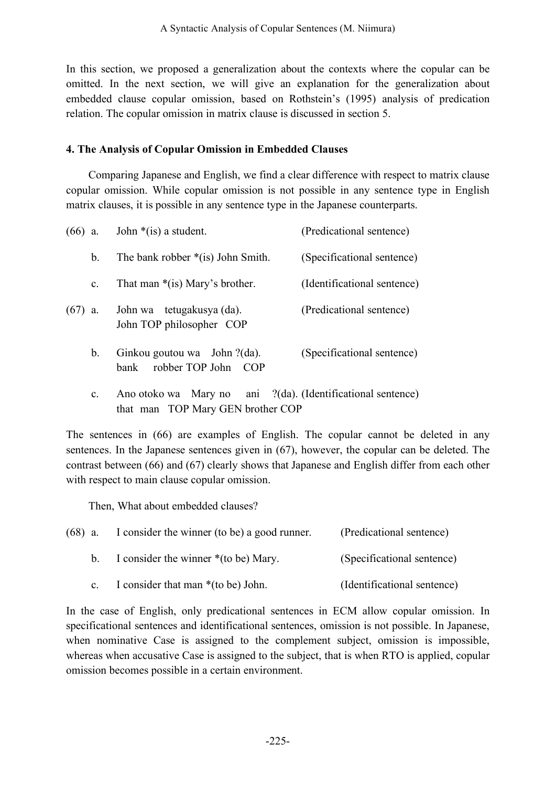In this section, we proposed a generalization about the contexts where the copular can be omitted. In the next section, we will give an explanation for the generalization about embedded clause copular omission, based on Rothstein's (1995) analysis of predication relation. The copular omission in matrix clause is discussed in section 5.

#### **4. The Analysis of Copular Omission in Embedded Clauses**

Comparing Japanese and English, we find a clear difference with respect to matrix clause copular omission. While copular omission is not possible in any sentence type in English matrix clauses, it is possible in any sentence type in the Japanese counterparts.

| $(66)$ a. |                | John $*(is)$ a student.                                                                          | (Predicational sentence)    |
|-----------|----------------|--------------------------------------------------------------------------------------------------|-----------------------------|
|           | b.             | The bank robber $*(is)$ John Smith.                                                              | (Specificational sentence)  |
|           | $\mathbf{c}$ . | That man $*(is)$ Mary's brother.                                                                 | (Identificational sentence) |
| $(67)$ a. |                | John wa tetugakusya (da).<br>John TOP philosopher COP                                            | (Predicational sentence)    |
|           | $\mathbf{b}$ . | Ginkou goutou wa John ?(da).<br>robber TOP John COP<br>bank                                      | (Specificational sentence)  |
|           | $c_{\cdot}$    | Ano otoko wa Mary no ani ?(da). (Identificational sentence)<br>that man TOP Mary GEN brother COP |                             |

The sentences in (66) are examples of English. The copular cannot be deleted in any sentences. In the Japanese sentences given in (67), however, the copular can be deleted. The contrast between (66) and (67) clearly shows that Japanese and English differ from each other with respect to main clause copular omission.

Then, What about embedded clauses?

| $(68)$ a.   | I consider the winner (to be) a good runner. | (Predicational sentence)    |
|-------------|----------------------------------------------|-----------------------------|
| h           | I consider the winner $*(to be)$ Mary.       | (Specificational sentence)  |
| $c_{\cdot}$ | I consider that man $*($ to be) John.        | (Identificational sentence) |

In the case of English, only predicational sentences in ECM allow copular omission. In specificational sentences and identificational sentences, omission is not possible. In Japanese, when nominative Case is assigned to the complement subject, omission is impossible, whereas when accusative Case is assigned to the subject, that is when RTO is applied, copular omission becomes possible in a certain environment.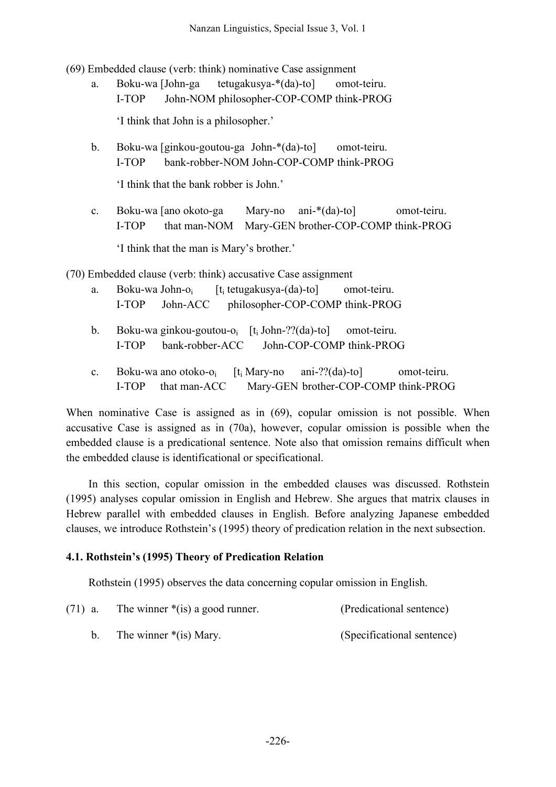(69) Embedded clause (verb: think) nominative Case assignment

a. Boku-wa [John-ga tetugakusya-\*(da)-to] omot-teiru. I-TOP John-NOM philosopher-COP-COMP think-PROG

'I think that John is a philosopher.'

b. Boku-wa [ginkou-goutou-ga John-\*(da)-to] omot-teiru. I-TOP bank-robber-NOM John-COP-COMP think-PROG

'I think that the bank robber is John.'

c. Boku-wa [ano okoto-ga Mary-no ani-\*(da)-to] omot-teiru. I-TOP that man-NOM Mary-GEN brother-COP-COMP think-PROG 'I think that the man is Mary's brother.'

(70) Embedded clause (verb: think) accusative Case assignment

- a. Boku-wa John- $o_i$  [t<sub>i</sub> tetugakusya-(da)-to] omot-teiru. I-TOP John-ACC philosopher-COP-COMP think-PROG
- b. Boku-wa ginkou-goutou-o<sub>i</sub>  $[t_i]$  John-??(da)-to] omot-teiru. I-TOP bank-robber-ACC John-COP-COMP think-PROG
- c. Boku-wa ano otoko-o<sub>i</sub>  $[t_i$  Mary-no ani-??(da)-to] omot-teiru. I-TOP that man-ACC Mary-GEN brother-COP-COMP think-PROG

When nominative Case is assigned as in  $(69)$ , copular omission is not possible. When accusative Case is assigned as in (70a), however, copular omission is possible when the embedded clause is a predicational sentence. Note also that omission remains difficult when the embedded clause is identificational or specificational.

In this section, copular omission in the embedded clauses was discussed. Rothstein (1995) analyses copular omission in English and Hebrew. She argues that matrix clauses in Hebrew parallel with embedded clauses in English. Before analyzing Japanese embedded clauses, we introduce Rothstein's (1995) theory of predication relation in the next subsection.

# **4.1. Rothstein's (1995) Theory of Predication Relation**

Rothstein (1995) observes the data concerning copular omission in English.

| $(71)$ a. | The winner $*(is)$ a good runner. | (Predicational sentence)   |
|-----------|-----------------------------------|----------------------------|
|           | The winner $*(is)$ Mary.          | (Specificational sentence) |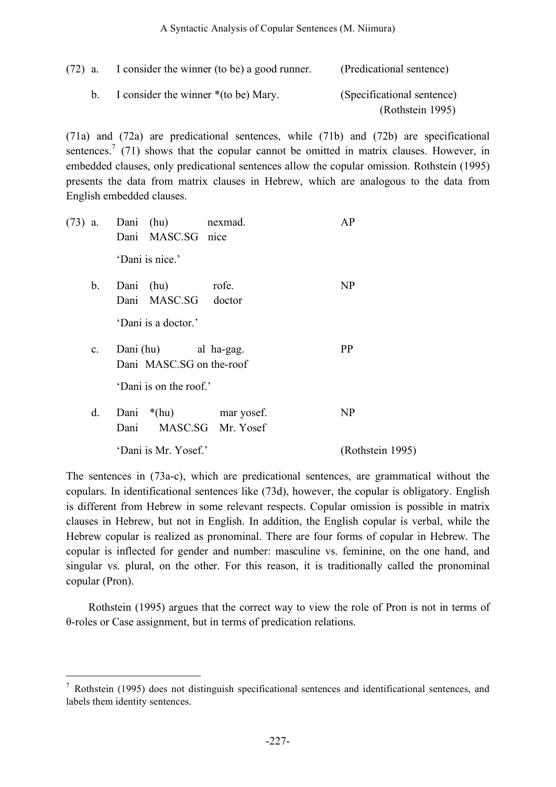#### A Syntactic Analysis of Copular Sentences (M. Niimura)

| $(72)$ a. | I consider the winner (to be) a good runner. | (Predicational sentence)   |
|-----------|----------------------------------------------|----------------------------|
| h —       | I consider the winner *(to be) Mary.         | (Specificational sentence) |
|           |                                              | (Rothstein 1995)           |

(71a) and (72a) are predicational sentences, while (71b) and (72b) are specificational sentences.<sup>7</sup> (71) shows that the copular cannot be omitted in matrix clauses. However, in embedded clauses, only predicational sentences allow the copular omission. Rothstein (1995) presents the data from matrix clauses in Hebrew, which are analogous to the data from English embedded clauses.

|             | (73) a. Dani (hu) nexmad.<br>Dani MASC.SG nice   | AP               |
|-------------|--------------------------------------------------|------------------|
|             | 'Dani is nice.'                                  |                  |
|             | b. Dani (hu) rofe.<br>Dani MASC.SG doctor        | N <sub>P</sub>   |
|             | 'Dani is a doctor.'                              |                  |
| $c_{\rm c}$ | Dani (hu) al ha-gag.<br>Dani MASC.SG on the-roof | PP               |
|             | 'Dani is on the roof.'                           |                  |
| d.          | Dani *(hu) mar yosef.<br>Dani MASC.SG Mr. Yosef  | N <sub>P</sub>   |
|             | 'Dani is Mr. Yosef.'                             | (Rothstein 1995) |

The sentences in (73a-c), which are predicational sentences, are grammatical without the copulars. In identificational sentences like (73d), however, the copular is obligatory. English is different from Hebrew in some relevant respects. Copular omission is possible in matrix clauses in Hebrew, but not in English. In addition, the English copular is verbal, while the Hebrew copular is realized as pronominal. There are four forms of copular in Hebrew. The copular is inflected for gender and number: masculine vs. feminine, on the one hand, and singular vs. plural, on the other. For this reason, it is traditionally called the pronominal copular (Pron).

Rothstein (1995) argues that the correct way to view the role of Pron is not in terms of θ-roles or Case assignment, but in terms of predication relations.

 <sup>7</sup> Rothstein (1995) does not distinguish specificational sentences and identificational sentences, and labels them identity sentences.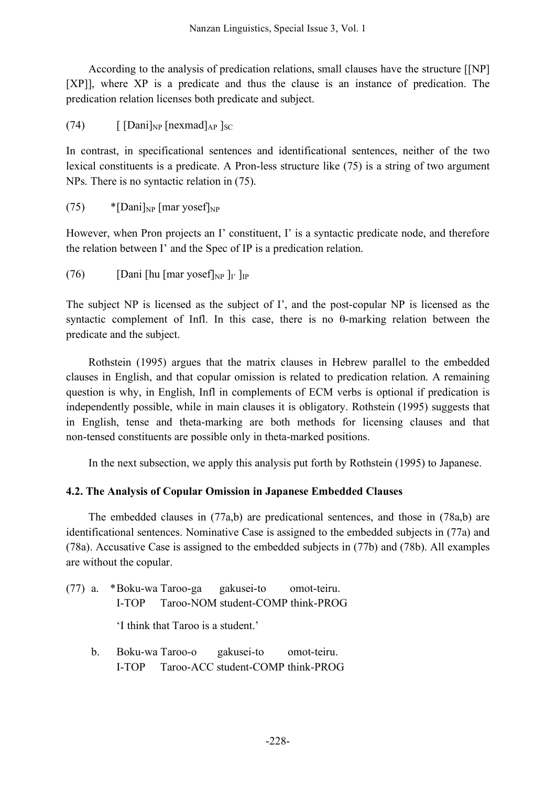According to the analysis of predication relations, small clauses have the structure [[NP] [XP]], where XP is a predicate and thus the clause is an instance of predication. The predication relation licenses both predicate and subject.

(74)  $\left[\frac{\text{Dani}}{\text{NP}}\left[\text{hexmad}\right]_{AP}\right]_{SC}$ 

In contrast, in specificational sentences and identificational sentences, neither of the two lexical constituents is a predicate. A Pron-less structure like (75) is a string of two argument NPs. There is no syntactic relation in (75).

(75)  $*$ [Dani]<sub>NP</sub> [mar yosef]<sub>NP</sub>

However, when Pron projects an I' constituent, I' is a syntactic predicate node, and therefore the relation between I' and the Spec of IP is a predication relation.

(76) [Dani [hu [mar yosef] $_{\rm NP}$ ]<sub>I'</sub> ]<sub>IP</sub>

The subject NP is licensed as the subject of I', and the post-copular NP is licensed as the syntactic complement of Infl. In this case, there is no θ-marking relation between the predicate and the subject.

Rothstein (1995) argues that the matrix clauses in Hebrew parallel to the embedded clauses in English, and that copular omission is related to predication relation. A remaining question is why, in English, Infl in complements of ECM verbs is optional if predication is independently possible, while in main clauses it is obligatory. Rothstein (1995) suggests that in English, tense and theta-marking are both methods for licensing clauses and that non-tensed constituents are possible only in theta-marked positions.

In the next subsection, we apply this analysis put forth by Rothstein (1995) to Japanese.

# **4.2. The Analysis of Copular Omission in Japanese Embedded Clauses**

The embedded clauses in (77a,b) are predicational sentences, and those in (78a,b) are identificational sentences. Nominative Case is assigned to the embedded subjects in (77a) and (78a). Accusative Case is assigned to the embedded subjects in (77b) and (78b). All examples are without the copular.

(77) a. \*Boku-wa Taroo-ga gakusei-to omot-teiru. I-TOP Taroo-NOM student-COMP think-PROG

'I think that Taroo is a student.'

b. Boku-wa Taroo-o gakusei-to omot-teiru. I-TOP Taroo-ACC student-COMP think-PROG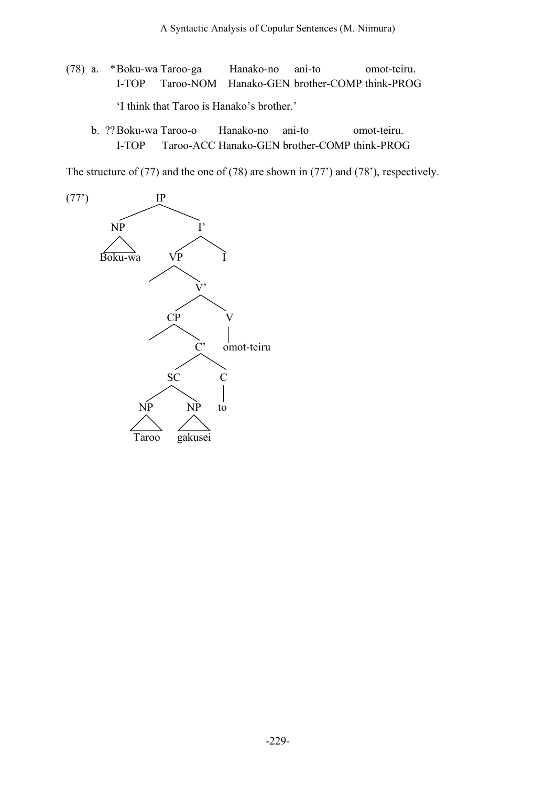- (78) a. \*Boku-wa Taroo-ga Hanako-no ani-to omot-teiru. I-TOP Taroo-NOM Hanako-GEN brother-COMP think-PROG 'I think that Taroo is Hanako's brother.'
	- b. ??Boku-wa Taroo-o Hanako-no ani-to omot-teiru. I-TOP Taroo-ACC Hanako-GEN brother-COMP think-PROG

The structure of (77) and the one of (78) are shown in (77') and (78'), respectively.

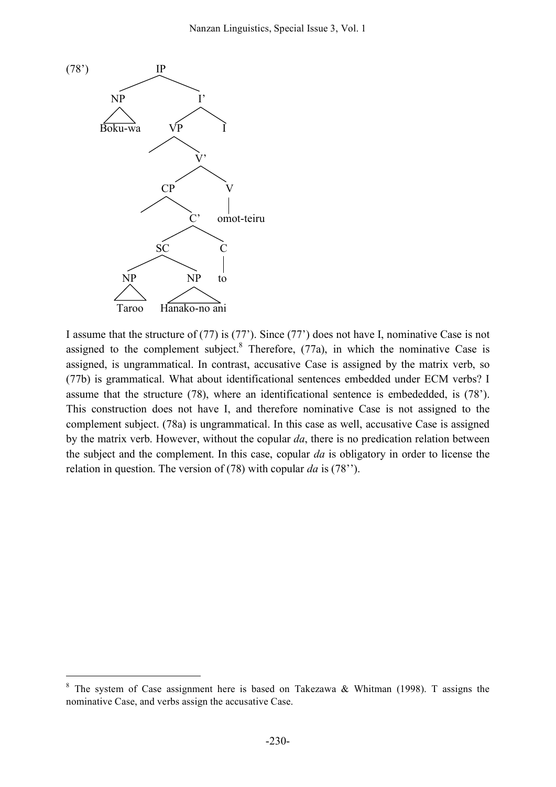

I assume that the structure of (77) is (77'). Since (77') does not have I, nominative Case is not assigned to the complement subject.<sup>8</sup> Therefore,  $(77a)$ , in which the nominative Case is assigned, is ungrammatical. In contrast, accusative Case is assigned by the matrix verb, so (77b) is grammatical. What about identificational sentences embedded under ECM verbs? I assume that the structure (78), where an identificational sentence is embededded, is (78'). This construction does not have I, and therefore nominative Case is not assigned to the complement subject. (78a) is ungrammatical. In this case as well, accusative Case is assigned by the matrix verb. However, without the copular *da*, there is no predication relation between the subject and the complement. In this case, copular *da* is obligatory in order to license the relation in question. The version of (78) with copular *da* is (78'').

 $8$  The system of Case assignment here is based on Takezawa & Whitman (1998). T assigns the nominative Case, and verbs assign the accusative Case.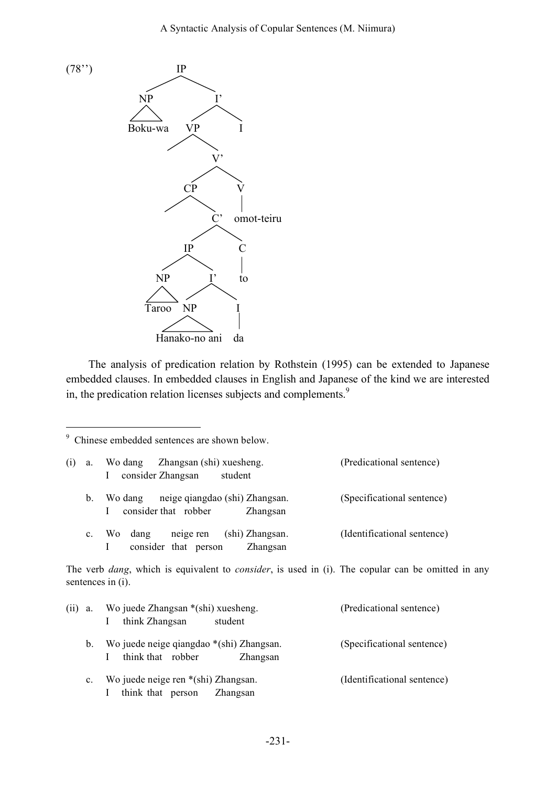



The analysis of predication relation by Rothstein (1995) can be extended to Japanese embedded clauses. In embedded clauses in English and Japanese of the kind we are interested in, the predication relation licenses subjects and complements.<sup>9</sup>

9 Chinese embedded sentences are shown below.

| (1) | a.      | Wo dang Zhangsan (shi) xuesheng.<br>consider Zhangsan<br>student<br>$\Gamma$                                                              | (Predicational sentence)    |
|-----|---------|-------------------------------------------------------------------------------------------------------------------------------------------|-----------------------------|
|     | $b_{-}$ | neige qiangdao (shi) Zhangsan.<br>Wo dang<br>consider that robber<br>$\mathbf{I}$<br>Zhangsan                                             | (Specificational sentence)  |
|     |         | c. Wo dang<br>neige ren (shi) Zhangsan.<br>consider that person<br>Zhangsan<br>Ι.                                                         | (Identificational sentence) |
|     |         | The verb <i>dang</i> , which is equivalent to <i>consider</i> , is used in (i). The copular can be omitted in any<br>sentences in $(i)$ . |                             |

| $(ii)$ a.      | Wo juede Zhangsan *(shi) xuesheng.<br>think Zhangsan<br>student           | (Predicational sentence)    |
|----------------|---------------------------------------------------------------------------|-----------------------------|
| $b_{\cdot}$    | Wo juede neige qiangdao *(shi) Zhangsan.<br>think that robber<br>Zhangsan | (Specificational sentence)  |
| $\mathbf{c}$ . | Wo juede neige ren *(shi) Zhangsan.<br>think that person<br>Zhangsan      | (Identificational sentence) |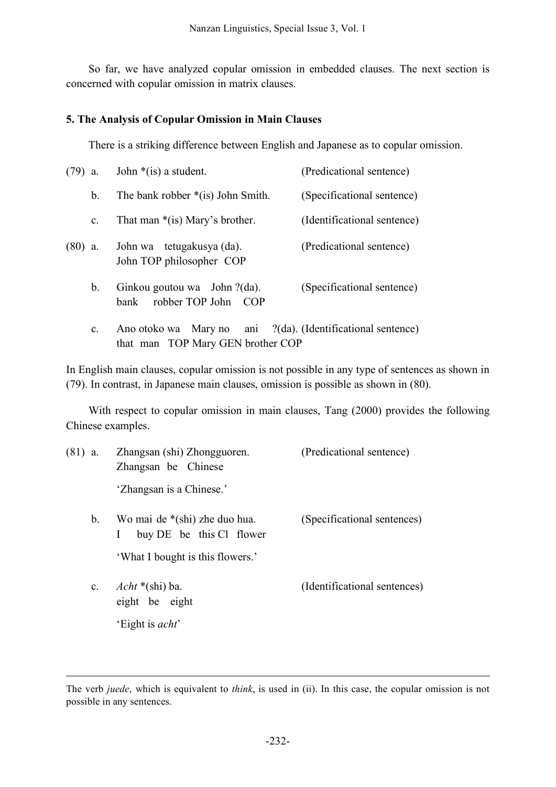So far, we have analyzed copular omission in embedded clauses. The next section is concerned with copular omission in matrix clauses.

#### **5. The Analysis of Copular Omission in Main Clauses**

There is a striking difference between English and Japanese as to copular omission.

| $(79)$ a. |                | John $*(is)$ a student.                                          | (Predicational sentence)               |  |
|-----------|----------------|------------------------------------------------------------------|----------------------------------------|--|
|           | b.             | The bank robber $*(is)$ John Smith.                              | (Specificational sentence)             |  |
|           | c.             | That man $*(is)$ Mary's brother.                                 | (Identificational sentence)            |  |
| $(80)$ a. |                | John wa tetugakusya (da).<br>John TOP philosopher COP            | (Predicational sentence)               |  |
|           | b.             | Ginkou goutou wa John ?(da).<br>robber TOP John<br>bank<br>– COP | (Specificational sentence)             |  |
|           | $\mathbf{c}$ . | Ano otoko wa Mary no<br>that man TOP Mary GEN brother COP        | ani ?(da). (Identificational sentence) |  |

In English main clauses, copular omission is not possible in any type of sentences as shown in (79). In contrast, in Japanese main clauses, omission is possible as shown in (80).

With respect to copular omission in main clauses, Tang (2000) provides the following Chinese examples.

| $(81)$ a. | Zhangsan (shi) Zhongguoren.<br>Zhangsan be Chinese                        | (Predicational sentence)     |  |
|-----------|---------------------------------------------------------------------------|------------------------------|--|
|           | 'Zhangsan is a Chinese.'                                                  |                              |  |
| b.        | Wo mai de *(shi) zhe duo hua.<br>buy DE be this Cl flower<br>$\mathbf{I}$ | (Specificational sentences)  |  |
|           | 'What I bought is this flowers.'                                          |                              |  |
|           | c. $Acht * (shi) ba.$<br>eight be eight                                   | (Identificational sentences) |  |
|           | 'Eight is <i>acht</i> '                                                   |                              |  |

 $\overline{a}$ 

The verb *juede*, which is equivalent to *think*, is used in (ii). In this case, the copular omission is not possible in any sentences.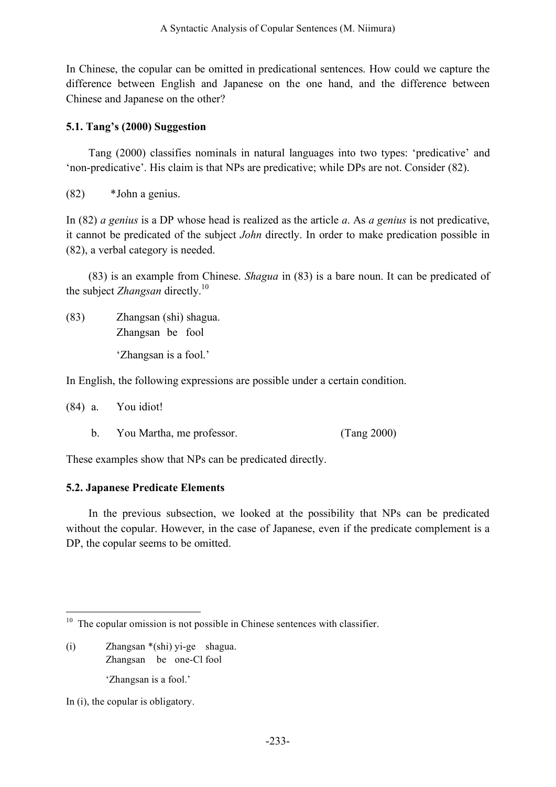In Chinese, the copular can be omitted in predicational sentences. How could we capture the difference between English and Japanese on the one hand, and the difference between Chinese and Japanese on the other?

## **5.1. Tang's (2000) Suggestion**

Tang (2000) classifies nominals in natural languages into two types: 'predicative' and 'non-predicative'. His claim is that NPs are predicative; while DPs are not. Consider (82).

(82) \*John a genius.

In (82) *a genius* is a DP whose head is realized as the article *a*. As *a genius* is not predicative, it cannot be predicated of the subject *John* directly. In order to make predication possible in (82), a verbal category is needed.

(83) is an example from Chinese. *Shagua* in (83) is a bare noun. It can be predicated of the subject *Zhangsan* directly. 10

(83) Zhangsan (shi) shagua. Zhangsan be fool 'Zhangsan is a fool.'

In English, the following expressions are possible under a certain condition.

(84) a. You idiot!

b. You Martha, me professor. (Tang 2000)

These examples show that NPs can be predicated directly.

#### **5.2. Japanese Predicate Elements**

In the previous subsection, we looked at the possibility that NPs can be predicated without the copular. However, in the case of Japanese, even if the predicate complement is a DP, the copular seems to be omitted.

- (i) Zhangsan \*(shi) yi-ge shagua. Zhangsan be one-Cl fool 'Zhangsan is a fool.'
- In (i), the copular is obligatory.

 $10$  The copular omission is not possible in Chinese sentences with classifier.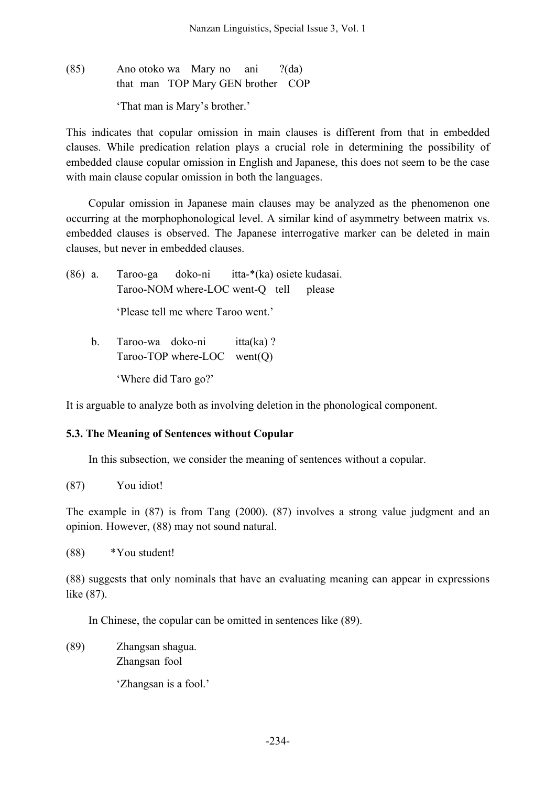# (85) Ano otoko wa Mary no ani ?(da) that man TOP Mary GEN brother COP 'That man is Mary's brother.'

This indicates that copular omission in main clauses is different from that in embedded clauses. While predication relation plays a crucial role in determining the possibility of embedded clause copular omission in English and Japanese, this does not seem to be the case with main clause copular omission in both the languages.

Copular omission in Japanese main clauses may be analyzed as the phenomenon one occurring at the morphophonological level. A similar kind of asymmetry between matrix vs. embedded clauses is observed. The Japanese interrogative marker can be deleted in main clauses, but never in embedded clauses.

|                                    |  | (86) a. Taroo-ga doko-ni itta-*(ka) osiete kudasai. |  |
|------------------------------------|--|-----------------------------------------------------|--|
|                                    |  | Taroo-NOM where-LOC went-Q tell please              |  |
| 'Please tell me where Taroo went.' |  |                                                     |  |
| $h$ Taroo-wa doko-ni itta(ka)?     |  |                                                     |  |

b. Taroo-wa doko-ni itta(ka) ? Taroo-TOP where-LOC went(Q) 'Where did Taro go?'

It is arguable to analyze both as involving deletion in the phonological component.

# **5.3. The Meaning of Sentences without Copular**

In this subsection, we consider the meaning of sentences without a copular.

(87) You idiot!

The example in (87) is from Tang (2000). (87) involves a strong value judgment and an opinion. However, (88) may not sound natural.

(88) \*You student!

(88) suggests that only nominals that have an evaluating meaning can appear in expressions like (87).

In Chinese, the copular can be omitted in sentences like (89).

(89) Zhangsan shagua. Zhangsan fool

'Zhangsan is a fool.'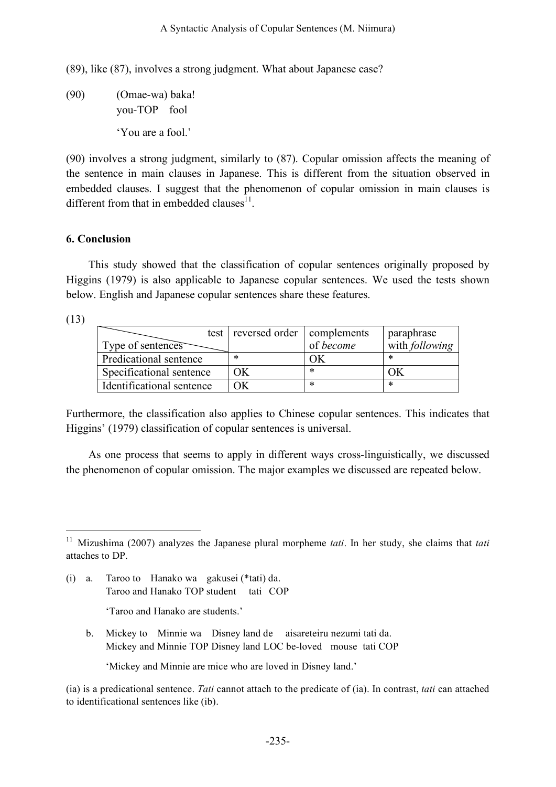(89), like (87), involves a strong judgment. What about Japanese case?

(90) (Omae-wa) baka! you-TOP fool 'You are a fool.'

(90) involves a strong judgment, similarly to (87). Copular omission affects the meaning of the sentence in main clauses in Japanese. This is different from the situation observed in embedded clauses. I suggest that the phenomenon of copular omission in main clauses is different from that in embedded clauses<sup>11</sup>.

#### **6. Conclusion**

This study showed that the classification of copular sentences originally proposed by Higgins (1979) is also applicable to Japanese copular sentences. We used the tests shown below. English and Japanese copular sentences share these features.

(13)

|                           | test reversed order complements |           | paraphrase            |
|---------------------------|---------------------------------|-----------|-----------------------|
| Type of sentences         |                                 | of become | with <i>following</i> |
| Predicational sentence    | ∗                               | ЭK        | $\ast$                |
| Specificational sentence  | OК                              | ∗         | OК                    |
| Identificational sentence | ЭK                              | ∗         | $\ast$                |

Furthermore, the classification also applies to Chinese copular sentences. This indicates that Higgins' (1979) classification of copular sentences is universal.

As one process that seems to apply in different ways cross-linguistically, we discussed the phenomenon of copular omission. The major examples we discussed are repeated below.

(i) a. Taroo to Hanako wa gakusei (\*tati) da. Taroo and Hanako TOP student tati COP

'Taroo and Hanako are students.'

b. Mickey to Minnie wa Disney land de aisareteiru nezumi tati da. Mickey and Minnie TOP Disney land LOC be-loved mouse tati COP

'Mickey and Minnie are mice who are loved in Disney land.'

(ia) is a predicational sentence. *Tati* cannot attach to the predicate of (ia). In contrast, *tati* can attached to identificational sentences like (ib).

 <sup>11</sup> Mizushima (2007) analyzes the Japanese plural morpheme *tati*. In her study, she claims that *tati* attaches to DP.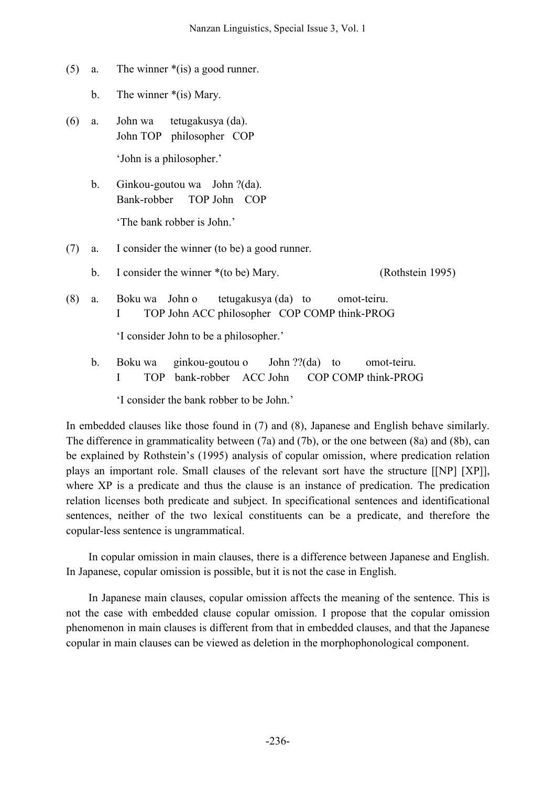- (5) a. The winner \*(is) a good runner.
	- b. The winner  $*(is)$  Mary.
- (6) a. John wa tetugakusya (da). John TOP philosopher COP 'John is a philosopher.'
	- b. Ginkou-goutou wa John ?(da). Bank-robber TOP John COP 'The bank robber is John.'

#### (7) a. I consider the winner (to be) a good runner.

- b. I consider the winner \*(to be) Mary. (Rothstein 1995)
- (8) a. Boku wa John o tetugakusya (da) to omot-teiru. I TOP John ACC philosopher COP COMP think-PROG

'I consider John to be a philosopher.'

b. Boku wa ginkou-goutou o John ??(da) to omot-teiru. I TOP bank-robber ACC John COP COMP think-PROG

'I consider the bank robber to be John.'

In embedded clauses like those found in (7) and (8), Japanese and English behave similarly. The difference in grammaticality between (7a) and (7b), or the one between (8a) and (8b), can be explained by Rothstein's (1995) analysis of copular omission, where predication relation plays an important role. Small clauses of the relevant sort have the structure [[NP] [XP]], where XP is a predicate and thus the clause is an instance of predication. The predication relation licenses both predicate and subject. In specificational sentences and identificational sentences, neither of the two lexical constituents can be a predicate, and therefore the copular-less sentence is ungrammatical.

In copular omission in main clauses, there is a difference between Japanese and English. In Japanese, copular omission is possible, but it is not the case in English.

In Japanese main clauses, copular omission affects the meaning of the sentence. This is not the case with embedded clause copular omission. I propose that the copular omission phenomenon in main clauses is different from that in embedded clauses, and that the Japanese copular in main clauses can be viewed as deletion in the morphophonological component.